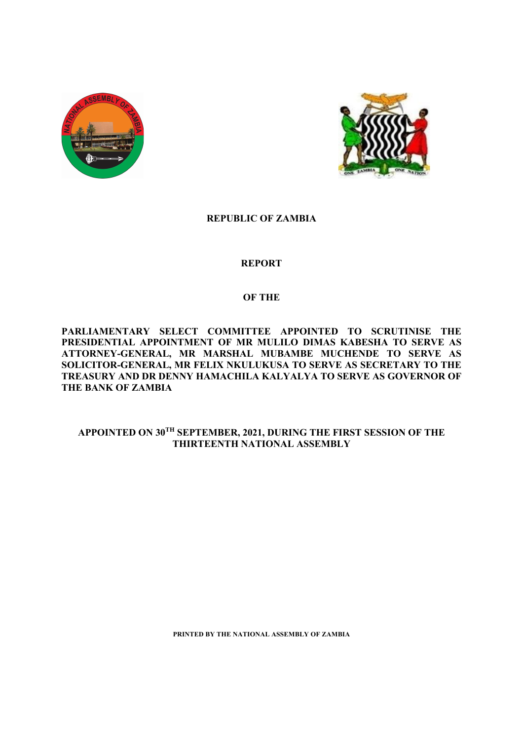



# **REPUBLIC OF ZAMBIA**

# **REPORT**

# **OF THE**

**PARLIAMENTARY SELECT COMMITTEE APPOINTED TO SCRUTINISE THE PRESIDENTIAL APPOINTMENT OF MR MULILO DIMAS KABESHA TO SERVE AS ATTORNEY-GENERAL, MR MARSHAL MUBAMBE MUCHENDE TO SERVE AS SOLICITOR-GENERAL, MR FELIX NKULUKUSA TO SERVE AS SECRETARY TO THE TREASURY AND DR DENNY HAMACHILA KALYALYA TO SERVE AS GOVERNOR OF THE BANK OF ZAMBIA**

# **APPOINTED ON 30TH SEPTEMBER, 2021, DURING THE FIRST SESSION OF THE THIRTEENTH NATIONAL ASSEMBLY**

**PRINTED BY THE NATIONAL ASSEMBLY OF ZAMBIA**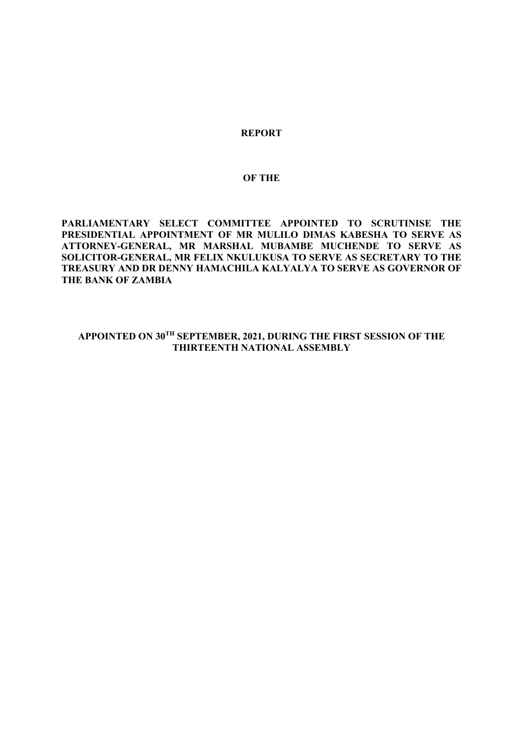# **REPORT**

# **OF THE**

**PARLIAMENTARY SELECT COMMITTEE APPOINTED TO SCRUTINISE THE PRESIDENTIAL APPOINTMENT OF MR MULILO DIMAS KABESHA TO SERVE AS ATTORNEY-GENERAL, MR MARSHAL MUBAMBE MUCHENDE TO SERVE AS SOLICITOR-GENERAL, MR FELIX NKULUKUSA TO SERVE AS SECRETARY TO THE TREASURY AND DR DENNY HAMACHILA KALYALYA TO SERVE AS GOVERNOR OF THE BANK OF ZAMBIA**

**APPOINTED ON 30TH SEPTEMBER, 2021, DURING THE FIRST SESSION OF THE THIRTEENTH NATIONAL ASSEMBLY**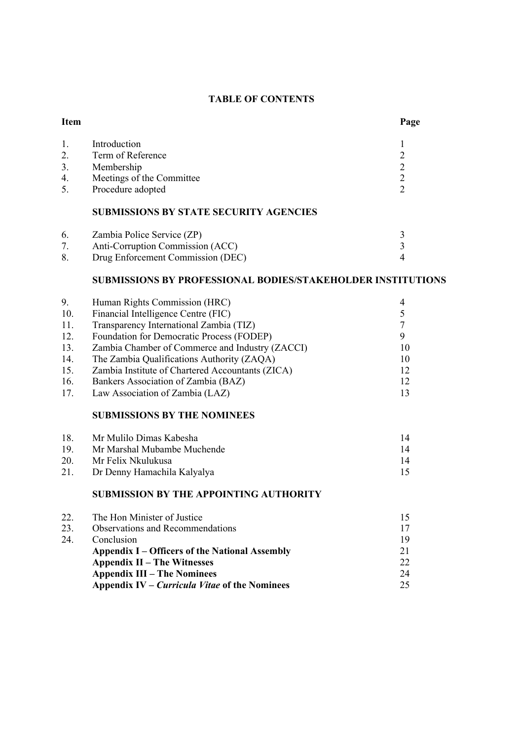# **TABLE OF CONTENTS**

# 1. Introduction 1 2. Term of Reference 2 3. Membership 2<br>4. Meetings of the Committee 2 4. Meetings of the Committee 2<br>5. Procedure adopted 2 Procedure adopted **SUBMISSIONS BY STATE SECURITY AGENCIES**

| 6. | Zambia Police Service (ZP)        |  |
|----|-----------------------------------|--|
|    | Anti-Corruption Commission (ACC)  |  |
|    | Drug Enforcement Commission (DEC) |  |

# **SUBMISSIONS BY PROFESSIONAL BODIES/STAKEHOLDER INSTITUTIONS**

| 9.  | Human Rights Commission (HRC)                    |    |
|-----|--------------------------------------------------|----|
| 10. | Financial Intelligence Centre (FIC)              |    |
| 11. | Transparency International Zambia (TIZ)          |    |
| 12. | Foundation for Democratic Process (FODEP)        |    |
| 13. | Zambia Chamber of Commerce and Industry (ZACCI)  | 10 |
| 14. | The Zambia Qualifications Authority (ZAQA)       | 10 |
| 15. | Zambia Institute of Chartered Accountants (ZICA) | 12 |
| 16. | Bankers Association of Zambia (BAZ)              | 12 |
| 17. | Law Association of Zambia (LAZ)                  | 13 |

# **SUBMISSIONS BY THE NOMINEES**

| 18. | Mr Mulilo Dimas Kabesha     | 14 |
|-----|-----------------------------|----|
| 19  | Mr Marshal Mubambe Muchende | 14 |
| 20. | Mr Felix Nkulukusa          | 14 |
| 21. | Dr Denny Hamachila Kalyalya |    |
|     |                             |    |

## **SUBMISSION BY THE APPOINTING AUTHORITY**

| 22. | The Hon Minister of Justice                           | 15 |
|-----|-------------------------------------------------------|----|
| 23. | <b>Observations and Recommendations</b>               | 17 |
| 24. | Conclusion                                            | 19 |
|     | <b>Appendix I – Officers of the National Assembly</b> | 21 |
|     | <b>Appendix II – The Witnesses</b>                    | 22 |
|     | <b>Appendix III – The Nominees</b>                    | 24 |
|     | Appendix IV – <i>Curricula Vitae</i> of the Nominees  | 25 |
|     |                                                       |    |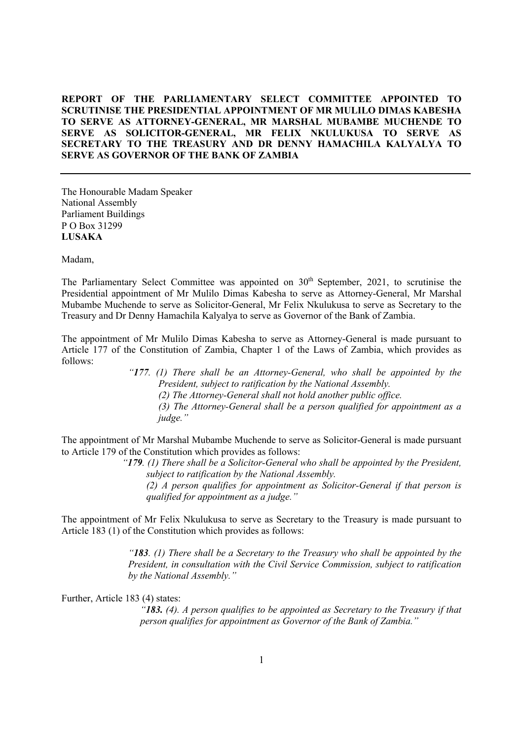# **REPORT OF THE PARLIAMENTARY SELECT COMMITTEE APPOINTED TO SCRUTINISE THE PRESIDENTIAL APPOINTMENT OF MR MULILO DIMAS KABESHA TO SERVE AS ATTORNEY-GENERAL, MR MARSHAL MUBAMBE MUCHENDE TO SERVE AS SOLICITOR-GENERAL, MR FELIX NKULUKUSA TO SERVE AS SECRETARY TO THE TREASURY AND DR DENNY HAMACHILA KALYALYA TO SERVE AS GOVERNOR OF THE BANK OF ZAMBIA**

The Honourable Madam Speaker National Assembly Parliament Buildings P O Box 31299 **LUSAKA**

Madam,

The Parliamentary Select Committee was appointed on  $30<sup>th</sup>$  September, 2021, to scrutinise the Presidential appointment of Mr Mulilo Dimas Kabesha to serve as Attorney-General, Mr Marshal Mubambe Muchende to serve as Solicitor-General, Mr Felix Nkulukusa to serve as Secretary to the Treasury and Dr Denny Hamachila Kalyalya to serve as Governor of the Bank of Zambia.

The appointment of Mr Mulilo Dimas Kabesha to serve as Attorney-General is made pursuant to Article 177 of the Constitution of Zambia, Chapter 1 of the Laws of Zambia, which provides as follows:

> *"177. (1) There shall be an Attorney-General, who shall be appointed by the President, subject to ratification by the National Assembly. (2) The Attorney-General shall not hold another public office. (3) The Attorney-General shall be a person qualified for appointment as a judge."*

The appointment of Mr Marshal Mubambe Muchende to serve as Solicitor-General is made pursuant to Article 179 of the Constitution which provides as follows:

> *"179. (1) There shall be a Solicitor-General who shall be appointed by the President, subject to ratification by the National Assembly. (2) A person qualifies for appointment as Solicitor-General if that person is*

*qualified for appointment as a judge."*

The appointment of Mr Felix Nkulukusa to serve as Secretary to the Treasury is made pursuant to Article 183 (1) of the Constitution which provides as follows:

> *"183. (1) There shall be a Secretary to the Treasury who shall be appointed by the President, in consultation with the Civil Service Commission, subject to ratification by the National Assembly."*

Further, Article 183 (4) states:

*"183. (4). A person qualifies to be appointed as Secretary to the Treasury if that person qualifies for appointment as Governor of the Bank of Zambia."*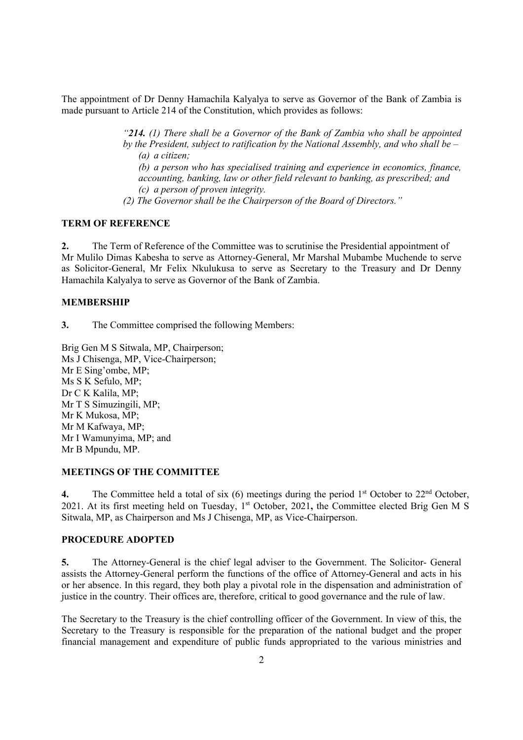The appointment of Dr Denny Hamachila Kalyalya to serve as Governor of the Bank of Zambia is made pursuant to Article 214 of the Constitution, which provides as follows:

> *"214. (1) There shall be a Governor of the Bank of Zambia who shall be appointed by the President, subject to ratification by the National Assembly, and who shall be – (a) a citizen;*

*(b) a person who has specialised training and experience in economics, finance, accounting, banking, law or other field relevant to banking, as prescribed; and (c) a person of proven integrity.* 

*(2) The Governor shall be the Chairperson of the Board of Directors."* 

# **TERM OF REFERENCE**

**2.** The Term of Reference of the Committee was to scrutinise the Presidential appointment of Mr Mulilo Dimas Kabesha to serve as Attorney-General, Mr Marshal Mubambe Muchende to serve as Solicitor-General, Mr Felix Nkulukusa to serve as Secretary to the Treasury and Dr Denny Hamachila Kalyalya to serve as Governor of the Bank of Zambia.

## **MEMBERSHIP**

**3.** The Committee comprised the following Members:

Brig Gen M S Sitwala, MP, Chairperson; Ms J Chisenga, MP, Vice-Chairperson; Mr E Sing'ombe, MP; Ms S K Sefulo, MP; Dr C K Kalila, MP; Mr T S Simuzingili, MP; Mr K Mukosa, MP; Mr M Kafwaya, MP; Mr I Wamunyima, MP; and Mr B Mpundu, MP.

# **MEETINGS OF THE COMMITTEE**

**4.** The Committee held a total of six  $(6)$  meetings during the period  $1<sup>st</sup>$  October to  $22<sup>nd</sup>$  October, 2021. At its first meeting held on Tuesday, 1st October, 2021**,** the Committee elected Brig Gen M S Sitwala, MP, as Chairperson and Ms J Chisenga, MP, as Vice-Chairperson.

## **PROCEDURE ADOPTED**

**5.** The Attorney-General is the chief legal adviser to the Government. The Solicitor- General assists the Attorney-General perform the functions of the office of Attorney-General and acts in his or her absence. In this regard, they both play a pivotal role in the dispensation and administration of justice in the country. Their offices are, therefore, critical to good governance and the rule of law.

The Secretary to the Treasury is the chief controlling officer of the Government. In view of this, the Secretary to the Treasury is responsible for the preparation of the national budget and the proper financial management and expenditure of public funds appropriated to the various ministries and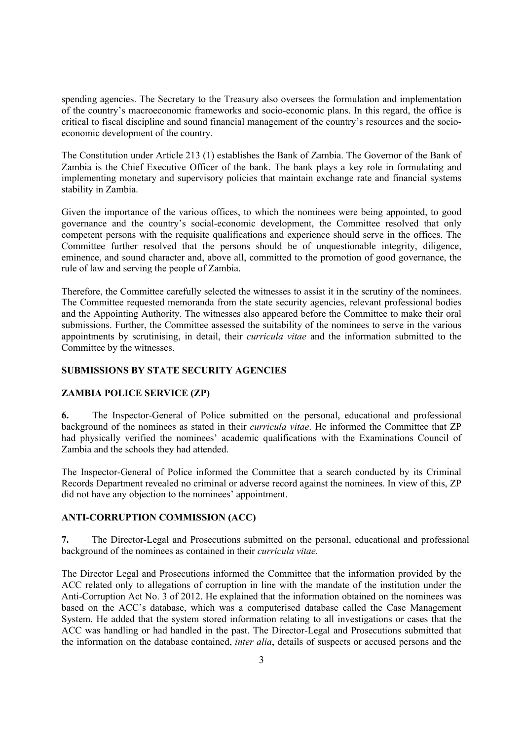spending agencies. The Secretary to the Treasury also oversees the formulation and implementation of the country's macroeconomic frameworks and socio-economic plans. In this regard, the office is critical to fiscal discipline and sound financial management of the country's resources and the socioeconomic development of the country.

The Constitution under Article 213 (1) establishes the Bank of Zambia. The Governor of the Bank of Zambia is the Chief Executive Officer of the bank. The bank plays a key role in formulating and implementing monetary and supervisory policies that maintain exchange rate and financial systems stability in Zambia.

Given the importance of the various offices, to which the nominees were being appointed, to good governance and the country's social-economic development, the Committee resolved that only competent persons with the requisite qualifications and experience should serve in the offices. The Committee further resolved that the persons should be of unquestionable integrity, diligence, eminence, and sound character and, above all, committed to the promotion of good governance, the rule of law and serving the people of Zambia.

Therefore, the Committee carefully selected the witnesses to assist it in the scrutiny of the nominees. The Committee requested memoranda from the state security agencies, relevant professional bodies and the Appointing Authority. The witnesses also appeared before the Committee to make their oral submissions. Further, the Committee assessed the suitability of the nominees to serve in the various appointments by scrutinising, in detail, their *curricula vitae* and the information submitted to the Committee by the witnesses.

## **SUBMISSIONS BY STATE SECURITY AGENCIES**

# **ZAMBIA POLICE SERVICE (ZP)**

**6.** The Inspector-General of Police submitted on the personal, educational and professional background of the nominees as stated in their *curricula vitae*. He informed the Committee that ZP had physically verified the nominees' academic qualifications with the Examinations Council of Zambia and the schools they had attended.

The Inspector-General of Police informed the Committee that a search conducted by its Criminal Records Department revealed no criminal or adverse record against the nominees. In view of this, ZP did not have any objection to the nominees' appointment.

### **ANTI-CORRUPTION COMMISSION (ACC)**

**7.** The Director-Legal and Prosecutions submitted on the personal, educational and professional background of the nominees as contained in their *curricula vitae*.

The Director Legal and Prosecutions informed the Committee that the information provided by the ACC related only to allegations of corruption in line with the mandate of the institution under the Anti-Corruption Act No. 3 of 2012. He explained that the information obtained on the nominees was based on the ACC's database, which was a computerised database called the Case Management System. He added that the system stored information relating to all investigations or cases that the ACC was handling or had handled in the past. The Director-Legal and Prosecutions submitted that the information on the database contained, *inter alia*, details of suspects or accused persons and the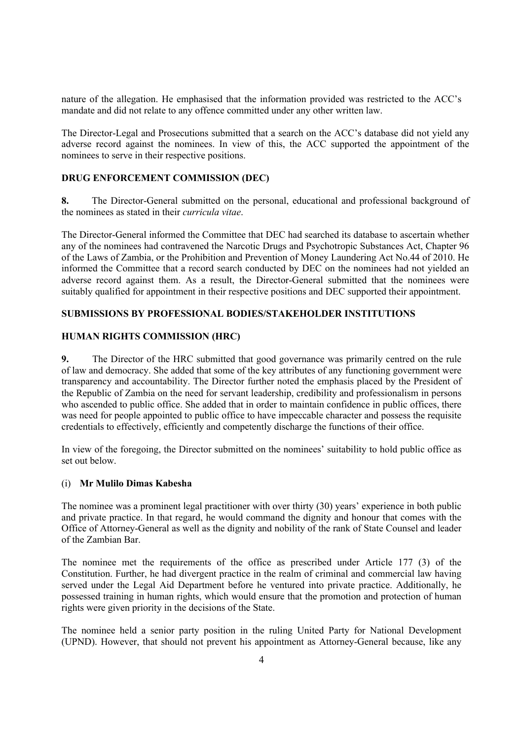nature of the allegation. He emphasised that the information provided was restricted to the ACC's mandate and did not relate to any offence committed under any other written law.

The Director-Legal and Prosecutions submitted that a search on the ACC's database did not yield any adverse record against the nominees. In view of this, the ACC supported the appointment of the nominees to serve in their respective positions.

## **DRUG ENFORCEMENT COMMISSION (DEC)**

**8.** The Director-General submitted on the personal, educational and professional background of the nominees as stated in their *curricula vitae*.

The Director-General informed the Committee that DEC had searched its database to ascertain whether any of the nominees had contravened the Narcotic Drugs and Psychotropic Substances Act, Chapter 96 of the Laws of Zambia, or the Prohibition and Prevention of Money Laundering Act No.44 of 2010. He informed the Committee that a record search conducted by DEC on the nominees had not yielded an adverse record against them. As a result, the Director-General submitted that the nominees were suitably qualified for appointment in their respective positions and DEC supported their appointment.

# **SUBMISSIONS BY PROFESSIONAL BODIES/STAKEHOLDER INSTITUTIONS**

# **HUMAN RIGHTS COMMISSION (HRC)**

**9.** The Director of the HRC submitted that good governance was primarily centred on the rule of law and democracy. She added that some of the key attributes of any functioning government were transparency and accountability. The Director further noted the emphasis placed by the President of the Republic of Zambia on the need for servant leadership, credibility and professionalism in persons who ascended to public office. She added that in order to maintain confidence in public offices, there was need for people appointed to public office to have impeccable character and possess the requisite credentials to effectively, efficiently and competently discharge the functions of their office.

In view of the foregoing, the Director submitted on the nominees' suitability to hold public office as set out below.

### (i) **Mr Mulilo Dimas Kabesha**

The nominee was a prominent legal practitioner with over thirty (30) years' experience in both public and private practice. In that regard, he would command the dignity and honour that comes with the Office of Attorney-General as well as the dignity and nobility of the rank of State Counsel and leader of the Zambian Bar.

The nominee met the requirements of the office as prescribed under Article 177 (3) of the Constitution. Further, he had divergent practice in the realm of criminal and commercial law having served under the Legal Aid Department before he ventured into private practice. Additionally, he possessed training in human rights, which would ensure that the promotion and protection of human rights were given priority in the decisions of the State.

The nominee held a senior party position in the ruling United Party for National Development (UPND). However, that should not prevent his appointment as Attorney-General because, like any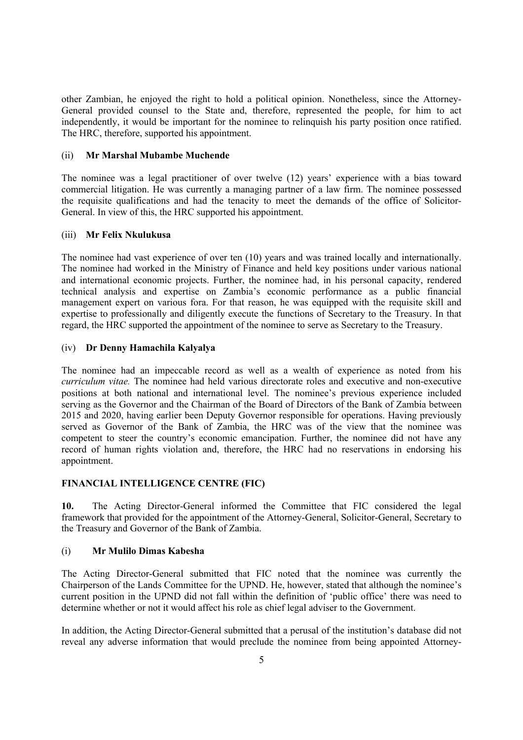other Zambian, he enjoyed the right to hold a political opinion. Nonetheless, since the Attorney-General provided counsel to the State and, therefore, represented the people, for him to act independently, it would be important for the nominee to relinquish his party position once ratified. The HRC, therefore, supported his appointment.

## (ii) **Mr Marshal Mubambe Muchende**

The nominee was a legal practitioner of over twelve (12) years' experience with a bias toward commercial litigation. He was currently a managing partner of a law firm. The nominee possessed the requisite qualifications and had the tenacity to meet the demands of the office of Solicitor-General. In view of this, the HRC supported his appointment.

# (iii) **Mr Felix Nkulukusa**

The nominee had vast experience of over ten (10) years and was trained locally and internationally. The nominee had worked in the Ministry of Finance and held key positions under various national and international economic projects. Further, the nominee had, in his personal capacity, rendered technical analysis and expertise on Zambia's economic performance as a public financial management expert on various fora. For that reason, he was equipped with the requisite skill and expertise to professionally and diligently execute the functions of Secretary to the Treasury. In that regard, the HRC supported the appointment of the nominee to serve as Secretary to the Treasury.

## (iv) **Dr Denny Hamachila Kalyalya**

The nominee had an impeccable record as well as a wealth of experience as noted from his *curriculum vitae.* The nominee had held various directorate roles and executive and non-executive positions at both national and international level. The nominee's previous experience included serving as the Governor and the Chairman of the Board of Directors of the Bank of Zambia between 2015 and 2020, having earlier been Deputy Governor responsible for operations. Having previously served as Governor of the Bank of Zambia, the HRC was of the view that the nominee was competent to steer the country's economic emancipation. Further, the nominee did not have any record of human rights violation and, therefore, the HRC had no reservations in endorsing his appointment.

# **FINANCIAL INTELLIGENCE CENTRE (FIC)**

**10.** The Acting Director-General informed the Committee that FIC considered the legal framework that provided for the appointment of the Attorney-General, Solicitor-General, Secretary to the Treasury and Governor of the Bank of Zambia.

# (i) **Mr Mulilo Dimas Kabesha**

The Acting Director-General submitted that FIC noted that the nominee was currently the Chairperson of the Lands Committee for the UPND. He, however, stated that although the nominee's current position in the UPND did not fall within the definition of 'public office' there was need to determine whether or not it would affect his role as chief legal adviser to the Government.

In addition, the Acting Director-General submitted that a perusal of the institution's database did not reveal any adverse information that would preclude the nominee from being appointed Attorney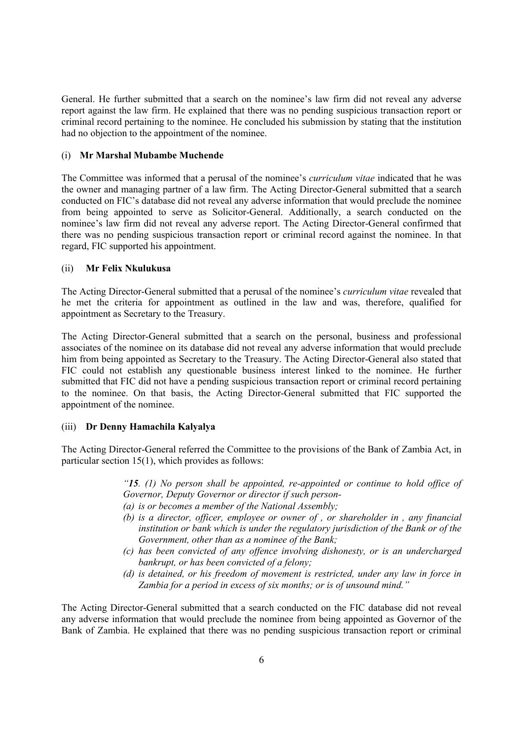General. He further submitted that a search on the nominee's law firm did not reveal any adverse report against the law firm. He explained that there was no pending suspicious transaction report or criminal record pertaining to the nominee. He concluded his submission by stating that the institution had no objection to the appointment of the nominee.

## (i) **Mr Marshal Mubambe Muchende**

The Committee was informed that a perusal of the nominee's *curriculum vitae* indicated that he was the owner and managing partner of a law firm. The Acting Director-General submitted that a search conducted on FIC's database did not reveal any adverse information that would preclude the nominee from being appointed to serve as Solicitor-General. Additionally, a search conducted on the nominee's law firm did not reveal any adverse report. The Acting Director-General confirmed that there was no pending suspicious transaction report or criminal record against the nominee. In that regard, FIC supported his appointment.

## (ii) **Mr Felix Nkulukusa**

The Acting Director-General submitted that a perusal of the nominee's *curriculum vitae* revealed that he met the criteria for appointment as outlined in the law and was, therefore, qualified for appointment as Secretary to the Treasury.

The Acting Director-General submitted that a search on the personal, business and professional associates of the nominee on its database did not reveal any adverse information that would preclude him from being appointed as Secretary to the Treasury. The Acting Director-General also stated that FIC could not establish any questionable business interest linked to the nominee. He further submitted that FIC did not have a pending suspicious transaction report or criminal record pertaining to the nominee. On that basis, the Acting Director-General submitted that FIC supported the appointment of the nominee.

# (iii) **Dr Denny Hamachila Kalyalya**

The Acting Director-General referred the Committee to the provisions of the Bank of Zambia Act, in particular section 15(1), which provides as follows:

> *"15. (1) No person shall be appointed, re-appointed or continue to hold office of Governor, Deputy Governor or director if such person-*

- *(a) is or becomes a member of the National Assembly;*
- *(b) is a director, officer, employee or owner of , or shareholder in , any financial institution or bank which is under the regulatory jurisdiction of the Bank or of the Government, other than as a nominee of the Bank;*
- *(c) has been convicted of any offence involving dishonesty, or is an undercharged bankrupt, or has been convicted of a felony;*
- *(d) is detained, or his freedom of movement is restricted, under any law in force in Zambia for a period in excess of six months; or is of unsound mind."*

The Acting Director-General submitted that a search conducted on the FIC database did not reveal any adverse information that would preclude the nominee from being appointed as Governor of the Bank of Zambia. He explained that there was no pending suspicious transaction report or criminal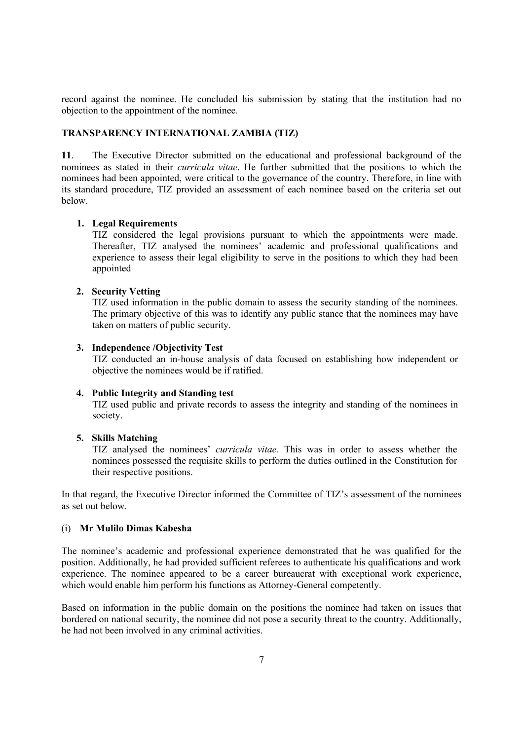record against the nominee. He concluded his submission by stating that the institution had no objection to the appointment of the nominee.

# **TRANSPARENCY INTERNATIONAL ZAMBIA (TIZ)**

**11**. The Executive Director submitted on the educational and professional background of the nominees as stated in their *curricula vitae*. He further submitted that the positions to which the nominees had been appointed, were critical to the governance of the country. Therefore, in line with its standard procedure, TIZ provided an assessment of each nominee based on the criteria set out below.

### **1. Legal Requirements**

TIZ considered the legal provisions pursuant to which the appointments were made. Thereafter, TIZ analysed the nominees' academic and professional qualifications and experience to assess their legal eligibility to serve in the positions to which they had been appointed

### **2. Security Vetting**

TIZ used information in the public domain to assess the security standing of the nominees. The primary objective of this was to identify any public stance that the nominees may have taken on matters of public security.

#### **3. Independence /Objectivity Test**

TIZ conducted an in-house analysis of data focused on establishing how independent or objective the nominees would be if ratified.

## **4. Public Integrity and Standing test**

TIZ used public and private records to assess the integrity and standing of the nominees in society.

## **5. Skills Matching**

TIZ analysed the nominees' *curricula vitae.* This was in order to assess whether the nominees possessed the requisite skills to perform the duties outlined in the Constitution for their respective positions.

In that regard, the Executive Director informed the Committee of TIZ's assessment of the nominees as set out below.

# (i) **Mr Mulilo Dimas Kabesha**

The nominee's academic and professional experience demonstrated that he was qualified for the position. Additionally, he had provided sufficient referees to authenticate his qualifications and work experience. The nominee appeared to be a career bureaucrat with exceptional work experience, which would enable him perform his functions as Attorney-General competently.

Based on information in the public domain on the positions the nominee had taken on issues that bordered on national security, the nominee did not pose a security threat to the country. Additionally, he had not been involved in any criminal activities.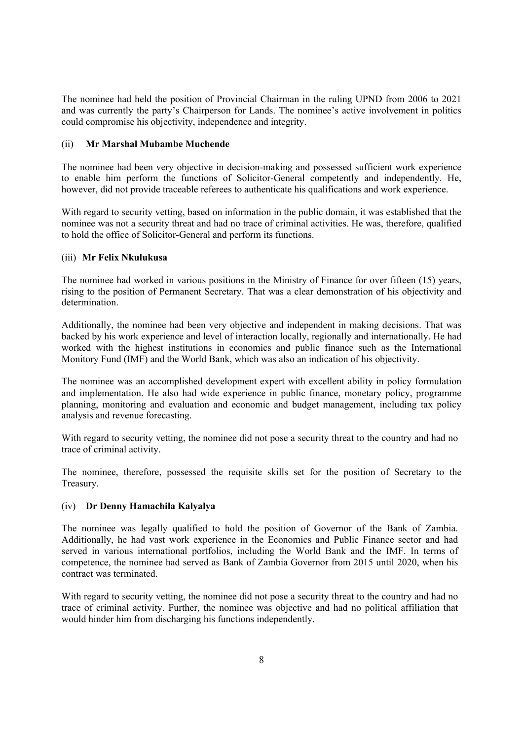The nominee had held the position of Provincial Chairman in the ruling UPND from 2006 to 2021 and was currently the party's Chairperson for Lands. The nominee's active involvement in politics could compromise his objectivity, independence and integrity.

# (ii) **Mr Marshal Mubambe Muchende**

The nominee had been very objective in decision-making and possessed sufficient work experience to enable him perform the functions of Solicitor-General competently and independently. He, however, did not provide traceable referees to authenticate his qualifications and work experience.

With regard to security vetting, based on information in the public domain, it was established that the nominee was not a security threat and had no trace of criminal activities. He was, therefore, qualified to hold the office of Solicitor-General and perform its functions.

# (iii) **Mr Felix Nkulukusa**

The nominee had worked in various positions in the Ministry of Finance for over fifteen (15) years, rising to the position of Permanent Secretary. That was a clear demonstration of his objectivity and determination.

Additionally, the nominee had been very objective and independent in making decisions. That was backed by his work experience and level of interaction locally, regionally and internationally. He had worked with the highest institutions in economics and public finance such as the International Monitory Fund (IMF) and the World Bank, which was also an indication of his objectivity.

The nominee was an accomplished development expert with excellent ability in policy formulation and implementation. He also had wide experience in public finance, monetary policy, programme planning, monitoring and evaluation and economic and budget management, including tax policy analysis and revenue forecasting.

With regard to security vetting, the nominee did not pose a security threat to the country and had no trace of criminal activity.

The nominee, therefore, possessed the requisite skills set for the position of Secretary to the Treasury.

# (iv) **Dr Denny Hamachila Kalyalya**

The nominee was legally qualified to hold the position of Governor of the Bank of Zambia. Additionally, he had vast work experience in the Economics and Public Finance sector and had served in various international portfolios, including the World Bank and the IMF. In terms of competence, the nominee had served as Bank of Zambia Governor from 2015 until 2020, when his contract was terminated.

With regard to security vetting, the nominee did not pose a security threat to the country and had no trace of criminal activity. Further, the nominee was objective and had no political affiliation that would hinder him from discharging his functions independently.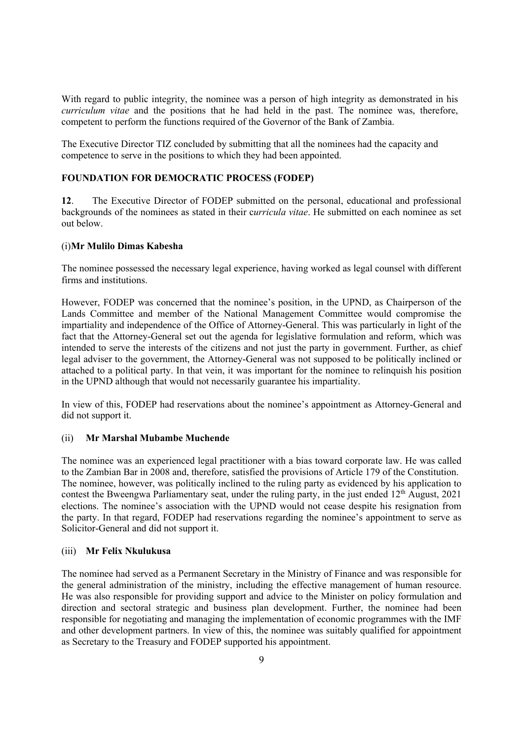With regard to public integrity, the nominee was a person of high integrity as demonstrated in his *curriculum vitae* and the positions that he had held in the past. The nominee was, therefore, competent to perform the functions required of the Governor of the Bank of Zambia.

The Executive Director TIZ concluded by submitting that all the nominees had the capacity and competence to serve in the positions to which they had been appointed.

# **FOUNDATION FOR DEMOCRATIC PROCESS (FODEP)**

**12**. The Executive Director of FODEP submitted on the personal, educational and professional backgrounds of the nominees as stated in their c*urricula vitae*. He submitted on each nominee as set out below.

## (i)**Mr Mulilo Dimas Kabesha**

The nominee possessed the necessary legal experience, having worked as legal counsel with different firms and institutions.

However, FODEP was concerned that the nominee's position, in the UPND, as Chairperson of the Lands Committee and member of the National Management Committee would compromise the impartiality and independence of the Office of Attorney-General. This was particularly in light of the fact that the Attorney-General set out the agenda for legislative formulation and reform, which was intended to serve the interests of the citizens and not just the party in government. Further, as chief legal adviser to the government, the Attorney-General was not supposed to be politically inclined or attached to a political party. In that vein, it was important for the nominee to relinquish his position in the UPND although that would not necessarily guarantee his impartiality.

In view of this, FODEP had reservations about the nominee's appointment as Attorney-General and did not support it.

# (ii) **Mr Marshal Mubambe Muchende**

The nominee was an experienced legal practitioner with a bias toward corporate law. He was called to the Zambian Bar in 2008 and, therefore, satisfied the provisions of Article 179 of the Constitution. The nominee, however, was politically inclined to the ruling party as evidenced by his application to contest the Bweengwa Parliamentary seat, under the ruling party, in the just ended  $12<sup>th</sup>$  August, 2021 elections. The nominee's association with the UPND would not cease despite his resignation from the party. In that regard, FODEP had reservations regarding the nominee's appointment to serve as Solicitor-General and did not support it.

### (iii) **Mr Felix Nkulukusa**

The nominee had served as a Permanent Secretary in the Ministry of Finance and was responsible for the general administration of the ministry, including the effective management of human resource. He was also responsible for providing support and advice to the Minister on policy formulation and direction and sectoral strategic and business plan development. Further, the nominee had been responsible for negotiating and managing the implementation of economic programmes with the IMF and other development partners. In view of this, the nominee was suitably qualified for appointment as Secretary to the Treasury and FODEP supported his appointment.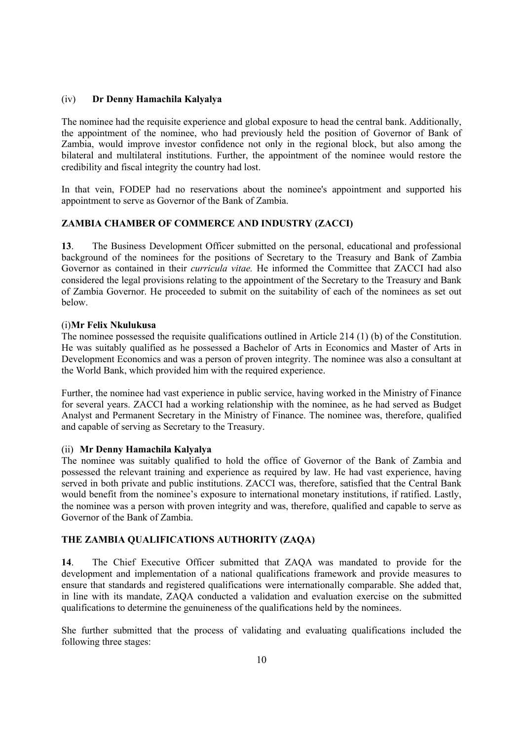## (iv) **Dr Denny Hamachila Kalyalya**

The nominee had the requisite experience and global exposure to head the central bank. Additionally, the appointment of the nominee, who had previously held the position of Governor of Bank of Zambia, would improve investor confidence not only in the regional block, but also among the bilateral and multilateral institutions. Further, the appointment of the nominee would restore the credibility and fiscal integrity the country had lost.

In that vein, FODEP had no reservations about the nominee's appointment and supported his appointment to serve as Governor of the Bank of Zambia.

# **ZAMBIA CHAMBER OF COMMERCE AND INDUSTRY (ZACCI)**

**13**. The Business Development Officer submitted on the personal, educational and professional background of the nominees for the positions of Secretary to the Treasury and Bank of Zambia Governor as contained in their *curricula vitae.* He informed the Committee that ZACCI had also considered the legal provisions relating to the appointment of the Secretary to the Treasury and Bank of Zambia Governor. He proceeded to submit on the suitability of each of the nominees as set out below.

### (i)**Mr Felix Nkulukusa**

The nominee possessed the requisite qualifications outlined in Article 214 (1) (b) of the Constitution. He was suitably qualified as he possessed a Bachelor of Arts in Economics and Master of Arts in Development Economics and was a person of proven integrity. The nominee was also a consultant at the World Bank, which provided him with the required experience.

Further, the nominee had vast experience in public service, having worked in the Ministry of Finance for several years. ZACCI had a working relationship with the nominee, as he had served as Budget Analyst and Permanent Secretary in the Ministry of Finance. The nominee was, therefore, qualified and capable of serving as Secretary to the Treasury.

# (ii) **Mr Denny Hamachila Kalyalya**

The nominee was suitably qualified to hold the office of Governor of the Bank of Zambia and possessed the relevant training and experience as required by law. He had vast experience, having served in both private and public institutions. ZACCI was, therefore, satisfied that the Central Bank would benefit from the nominee's exposure to international monetary institutions, if ratified. Lastly, the nominee was a person with proven integrity and was, therefore, qualified and capable to serve as Governor of the Bank of Zambia.

# **THE ZAMBIA QUALIFICATIONS AUTHORITY (ZAQA)**

**14**. The Chief Executive Officer submitted that ZAQA was mandated to provide for the development and implementation of a national qualifications framework and provide measures to ensure that standards and registered qualifications were internationally comparable. She added that, in line with its mandate, ZAQA conducted a validation and evaluation exercise on the submitted qualifications to determine the genuineness of the qualifications held by the nominees.

She further submitted that the process of validating and evaluating qualifications included the following three stages: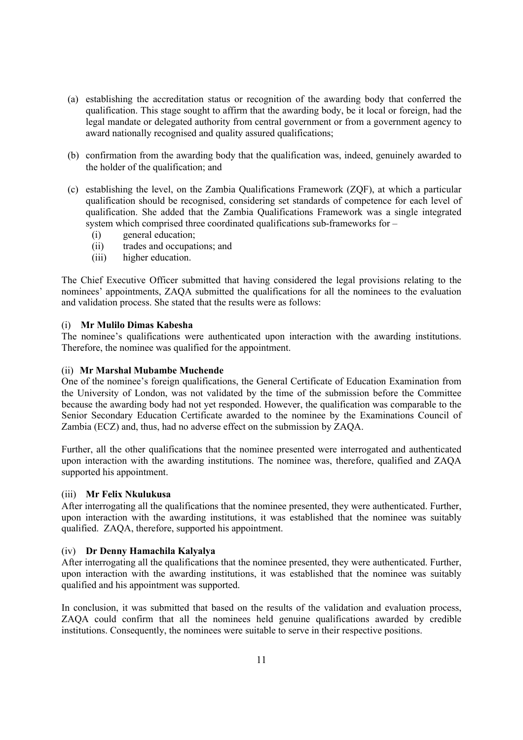- (a) establishing the accreditation status or recognition of the awarding body that conferred the qualification. This stage sought to affirm that the awarding body, be it local or foreign, had the legal mandate or delegated authority from central government or from a government agency to award nationally recognised and quality assured qualifications;
- (b) confirmation from the awarding body that the qualification was, indeed, genuinely awarded to the holder of the qualification; and
- (c) establishing the level, on the Zambia Qualifications Framework (ZQF), at which a particular qualification should be recognised, considering set standards of competence for each level of qualification. She added that the Zambia Qualifications Framework was a single integrated system which comprised three coordinated qualifications sub-frameworks for  $-$ 
	- (i) general education;
	- (ii) trades and occupations; and
	- (iii) higher education.

The Chief Executive Officer submitted that having considered the legal provisions relating to the nominees' appointments, ZAQA submitted the qualifications for all the nominees to the evaluation and validation process. She stated that the results were as follows:

## (i) **Mr Mulilo Dimas Kabesha**

The nominee's qualifications were authenticated upon interaction with the awarding institutions. Therefore, the nominee was qualified for the appointment.

# (ii) **Mr Marshal Mubambe Muchende**

One of the nominee's foreign qualifications, the General Certificate of Education Examination from the University of London, was not validated by the time of the submission before the Committee because the awarding body had not yet responded. However, the qualification was comparable to the Senior Secondary Education Certificate awarded to the nominee by the Examinations Council of Zambia (ECZ) and, thus, had no adverse effect on the submission by ZAQA.

Further, all the other qualifications that the nominee presented were interrogated and authenticated upon interaction with the awarding institutions. The nominee was, therefore, qualified and ZAQA supported his appointment.

# (iii) **Mr Felix Nkulukusa**

After interrogating all the qualifications that the nominee presented, they were authenticated. Further, upon interaction with the awarding institutions, it was established that the nominee was suitably qualified. ZAQA, therefore, supported his appointment.

### (iv) **Dr Denny Hamachila Kalyalya**

After interrogating all the qualifications that the nominee presented, they were authenticated. Further, upon interaction with the awarding institutions, it was established that the nominee was suitably qualified and his appointment was supported.

In conclusion, it was submitted that based on the results of the validation and evaluation process, ZAQA could confirm that all the nominees held genuine qualifications awarded by credible institutions. Consequently, the nominees were suitable to serve in their respective positions.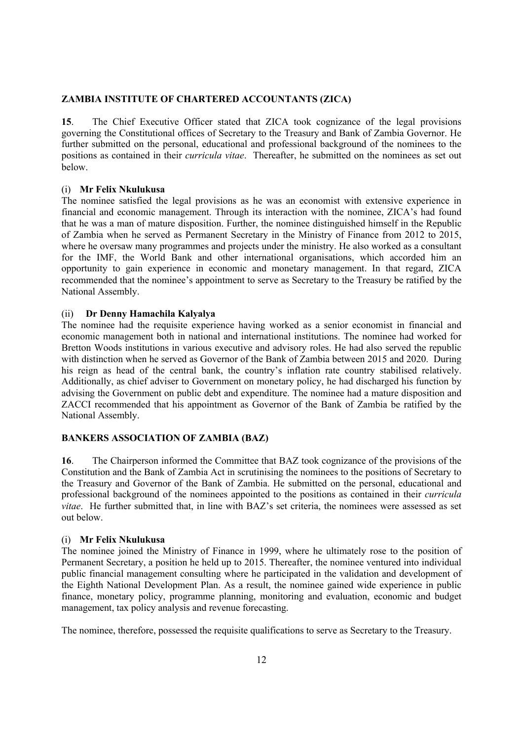## **ZAMBIA INSTITUTE OF CHARTERED ACCOUNTANTS (ZICA)**

**15**. The Chief Executive Officer stated that ZICA took cognizance of the legal provisions governing the Constitutional offices of Secretary to the Treasury and Bank of Zambia Governor. He further submitted on the personal, educational and professional background of the nominees to the positions as contained in their *curricula vitae*. Thereafter, he submitted on the nominees as set out below.

### (i) **Mr Felix Nkulukusa**

The nominee satisfied the legal provisions as he was an economist with extensive experience in financial and economic management. Through its interaction with the nominee, ZICA's had found that he was a man of mature disposition. Further, the nominee distinguished himself in the Republic of Zambia when he served as Permanent Secretary in the Ministry of Finance from 2012 to 2015, where he oversaw many programmes and projects under the ministry. He also worked as a consultant for the IMF, the World Bank and other international organisations, which accorded him an opportunity to gain experience in economic and monetary management. In that regard, ZICA recommended that the nominee's appointment to serve as Secretary to the Treasury be ratified by the National Assembly.

## (ii) **Dr Denny Hamachila Kalyalya**

The nominee had the requisite experience having worked as a senior economist in financial and economic management both in national and international institutions. The nominee had worked for Bretton Woods institutions in various executive and advisory roles. He had also served the republic with distinction when he served as Governor of the Bank of Zambia between 2015 and 2020. During his reign as head of the central bank, the country's inflation rate country stabilised relatively. Additionally, as chief adviser to Government on monetary policy, he had discharged his function by advising the Government on public debt and expenditure. The nominee had a mature disposition and ZACCI recommended that his appointment as Governor of the Bank of Zambia be ratified by the National Assembly.

## **BANKERS ASSOCIATION OF ZAMBIA (BAZ)**

**16**. The Chairperson informed the Committee that BAZ took cognizance of the provisions of the Constitution and the Bank of Zambia Act in scrutinising the nominees to the positions of Secretary to the Treasury and Governor of the Bank of Zambia. He submitted on the personal, educational and professional background of the nominees appointed to the positions as contained in their *curricula vitae*. He further submitted that, in line with BAZ's set criteria, the nominees were assessed as set out below.

### (i) **Mr Felix Nkulukusa**

The nominee joined the Ministry of Finance in 1999, where he ultimately rose to the position of Permanent Secretary, a position he held up to 2015. Thereafter, the nominee ventured into individual public financial management consulting where he participated in the validation and development of the Eighth National Development Plan. As a result, the nominee gained wide experience in public finance, monetary policy, programme planning, monitoring and evaluation, economic and budget management, tax policy analysis and revenue forecasting.

The nominee, therefore, possessed the requisite qualifications to serve as Secretary to the Treasury.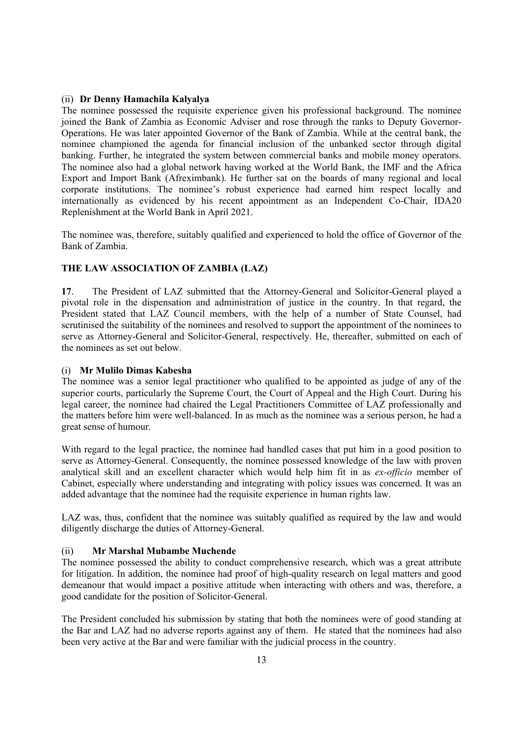## (ii) **Dr Denny Hamachila Kalyalya**

The nominee possessed the requisite experience given his professional background. The nominee joined the Bank of Zambia as Economic Adviser and rose through the ranks to Deputy Governor-Operations. He was later appointed Governor of the Bank of Zambia. While at the central bank, the nominee championed the agenda for financial inclusion of the unbanked sector through digital banking. Further, he integrated the system between commercial banks and mobile money operators. The nominee also had a global network having worked at the World Bank, the IMF and the Africa Export and Import Bank (Afreximbank). He further sat on the boards of many regional and local corporate institutions. The nominee's robust experience had earned him respect locally and internationally as evidenced by his recent appointment as an Independent Co-Chair, IDA20 Replenishment at the World Bank in April 2021.

The nominee was, therefore, suitably qualified and experienced to hold the office of Governor of the Bank of Zambia.

# **THE LAW ASSOCIATION OF ZAMBIA (LAZ)**

**17**. The President of LAZ submitted that the Attorney-General and Solicitor-General played a pivotal role in the dispensation and administration of justice in the country. In that regard, the President stated that LAZ Council members, with the help of a number of State Counsel, had scrutinised the suitability of the nominees and resolved to support the appointment of the nominees to serve as Attorney-General and Solicitor-General, respectively. He, thereafter, submitted on each of the nominees as set out below.

# (i) **Mr Mulilo Dimas Kabesha**

The nominee was a senior legal practitioner who qualified to be appointed as judge of any of the superior courts, particularly the Supreme Court, the Court of Appeal and the High Court. During his legal career, the nominee had chaired the Legal Practitioners Committee of LAZ professionally and the matters before him were well-balanced. In as much as the nominee was a serious person, he had a great sense of humour.

With regard to the legal practice, the nominee had handled cases that put him in a good position to serve as Attorney-General. Consequently, the nominee possessed knowledge of the law with proven analytical skill and an excellent character which would help him fit in as *ex-officio* member of Cabinet, especially where understanding and integrating with policy issues was concerned. It was an added advantage that the nominee had the requisite experience in human rights law.

LAZ was, thus, confident that the nominee was suitably qualified as required by the law and would diligently discharge the duties of Attorney-General.

### (ii) **Mr Marshal Mubambe Muchende**

The nominee possessed the ability to conduct comprehensive research, which was a great attribute for litigation. In addition, the nominee had proof of high-quality research on legal matters and good demeanour that would impact a positive attitude when interacting with others and was, therefore, a good candidate for the position of Solicitor-General.

The President concluded his submission by stating that both the nominees were of good standing at the Bar and LAZ had no adverse reports against any of them. He stated that the nominees had also been very active at the Bar and were familiar with the judicial process in the country.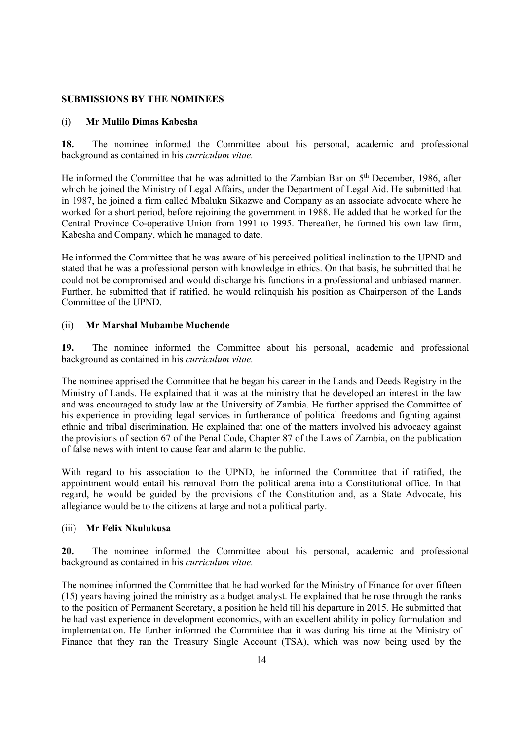## **SUBMISSIONS BY THE NOMINEES**

## (i) **Mr Mulilo Dimas Kabesha**

**18.** The nominee informed the Committee about his personal, academic and professional background as contained in his *curriculum vitae.*

He informed the Committee that he was admitted to the Zambian Bar on 5<sup>th</sup> December, 1986, after which he joined the Ministry of Legal Affairs, under the Department of Legal Aid. He submitted that in 1987, he joined a firm called Mbaluku Sikazwe and Company as an associate advocate where he worked for a short period, before rejoining the government in 1988. He added that he worked for the Central Province Co-operative Union from 1991 to 1995. Thereafter, he formed his own law firm, Kabesha and Company, which he managed to date.

He informed the Committee that he was aware of his perceived political inclination to the UPND and stated that he was a professional person with knowledge in ethics. On that basis, he submitted that he could not be compromised and would discharge his functions in a professional and unbiased manner. Further, he submitted that if ratified, he would relinquish his position as Chairperson of the Lands Committee of the UPND.

## (ii) **Mr Marshal Mubambe Muchende**

**19.** The nominee informed the Committee about his personal, academic and professional background as contained in his *curriculum vitae.*

The nominee apprised the Committee that he began his career in the Lands and Deeds Registry in the Ministry of Lands. He explained that it was at the ministry that he developed an interest in the law and was encouraged to study law at the University of Zambia. He further apprised the Committee of his experience in providing legal services in furtherance of political freedoms and fighting against ethnic and tribal discrimination. He explained that one of the matters involved his advocacy against the provisions of section 67 of the Penal Code, Chapter 87 of the Laws of Zambia, on the publication of false news with intent to cause fear and alarm to the public.

With regard to his association to the UPND, he informed the Committee that if ratified, the appointment would entail his removal from the political arena into a Constitutional office. In that regard, he would be guided by the provisions of the Constitution and, as a State Advocate, his allegiance would be to the citizens at large and not a political party.

## (iii) **Mr Felix Nkulukusa**

**20.** The nominee informed the Committee about his personal, academic and professional background as contained in his *curriculum vitae.*

The nominee informed the Committee that he had worked for the Ministry of Finance for over fifteen (15) years having joined the ministry as a budget analyst. He explained that he rose through the ranks to the position of Permanent Secretary, a position he held till his departure in 2015. He submitted that he had vast experience in development economics, with an excellent ability in policy formulation and implementation. He further informed the Committee that it was during his time at the Ministry of Finance that they ran the Treasury Single Account (TSA), which was now being used by the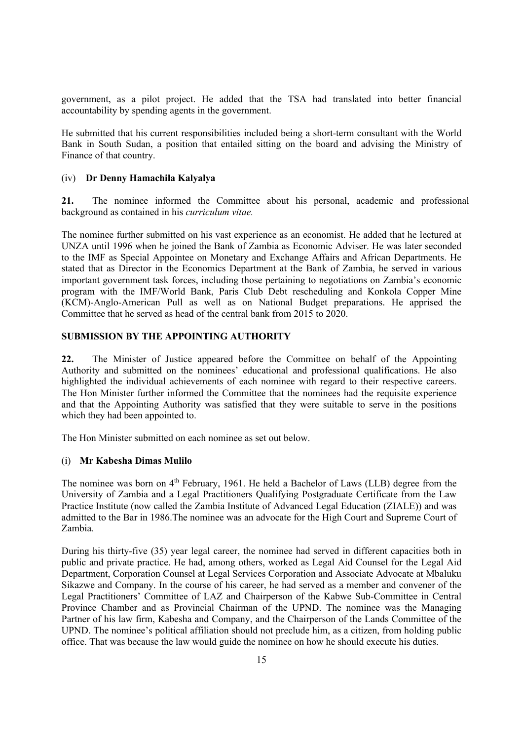government, as a pilot project. He added that the TSA had translated into better financial accountability by spending agents in the government.

He submitted that his current responsibilities included being a short-term consultant with the World Bank in South Sudan, a position that entailed sitting on the board and advising the Ministry of Finance of that country.

## (iv) **Dr Denny Hamachila Kalyalya**

**21.** The nominee informed the Committee about his personal, academic and professional background as contained in his *curriculum vitae.*

The nominee further submitted on his vast experience as an economist. He added that he lectured at UNZA until 1996 when he joined the Bank of Zambia as Economic Adviser. He was later seconded to the IMF as Special Appointee on Monetary and Exchange Affairs and African Departments. He stated that as Director in the Economics Department at the Bank of Zambia, he served in various important government task forces, including those pertaining to negotiations on Zambia's economic program with the IMF/World Bank, Paris Club Debt rescheduling and Konkola Copper Mine (KCM)-Anglo-American Pull as well as on National Budget preparations. He apprised the Committee that he served as head of the central bank from 2015 to 2020.

## **SUBMISSION BY THE APPOINTING AUTHORITY**

**22.** The Minister of Justice appeared before the Committee on behalf of the Appointing Authority and submitted on the nominees' educational and professional qualifications. He also highlighted the individual achievements of each nominee with regard to their respective careers. The Hon Minister further informed the Committee that the nominees had the requisite experience and that the Appointing Authority was satisfied that they were suitable to serve in the positions which they had been appointed to.

The Hon Minister submitted on each nominee as set out below.

### (i) **Mr Kabesha Dimas Mulilo**

The nominee was born on  $4<sup>th</sup>$  February, 1961. He held a Bachelor of Laws (LLB) degree from the University of Zambia and a Legal Practitioners Qualifying Postgraduate Certificate from the Law Practice Institute (now called the Zambia Institute of Advanced Legal Education (ZIALE)) and was admitted to the Bar in 1986.The nominee was an advocate for the High Court and Supreme Court of Zambia.

During his thirty-five (35) year legal career, the nominee had served in different capacities both in public and private practice. He had, among others, worked as Legal Aid Counsel for the Legal Aid Department, Corporation Counsel at Legal Services Corporation and Associate Advocate at Mbaluku Sikazwe and Company. In the course of his career, he had served as a member and convener of the Legal Practitioners' Committee of LAZ and Chairperson of the Kabwe Sub-Committee in Central Province Chamber and as Provincial Chairman of the UPND. The nominee was the Managing Partner of his law firm, Kabesha and Company, and the Chairperson of the Lands Committee of the UPND. The nominee's political affiliation should not preclude him, as a citizen, from holding public office. That was because the law would guide the nominee on how he should execute his duties.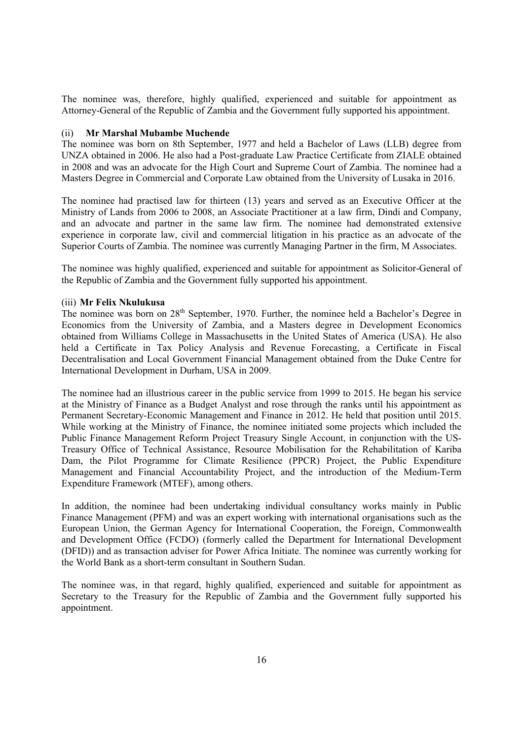The nominee was, therefore, highly qualified, experienced and suitable for appointment as Attorney-General of the Republic of Zambia and the Government fully supported his appointment.

#### (ii) **Mr Marshal Mubambe Muchende**

The nominee was born on 8th September, 1977 and held a Bachelor of Laws (LLB) degree from UNZA obtained in 2006. He also had a Post-graduate Law Practice Certificate from ZIALE obtained in 2008 and was an advocate for the High Court and Supreme Court of Zambia. The nominee had a Masters Degree in Commercial and Corporate Law obtained from the University of Lusaka in 2016.

The nominee had practised law for thirteen (13) years and served as an Executive Officer at the Ministry of Lands from 2006 to 2008, an Associate Practitioner at a law firm, Dindi and Company, and an advocate and partner in the same law firm. The nominee had demonstrated extensive experience in corporate law, civil and commercial litigation in his practice as an advocate of the Superior Courts of Zambia. The nominee was currently Managing Partner in the firm, M Associates.

The nominee was highly qualified, experienced and suitable for appointment as Solicitor-General of the Republic of Zambia and the Government fully supported his appointment.

## (iii) **Mr Felix Nkulukusa**

The nominee was born on 28th September, 1970. Further, the nominee held a Bachelor's Degree in Economics from the University of Zambia, and a Masters degree in Development Economics obtained from Williams College in Massachusetts in the United States of America (USA). He also held a Certificate in Tax Policy Analysis and Revenue Forecasting, a Certificate in Fiscal Decentralisation and Local Government Financial Management obtained from the Duke Centre for International Development in Durham, USA in 2009.

The nominee had an illustrious career in the public service from 1999 to 2015. He began his service at the Ministry of Finance as a Budget Analyst and rose through the ranks until his appointment as Permanent Secretary-Economic Management and Finance in 2012. He held that position until 2015. While working at the Ministry of Finance, the nominee initiated some projects which included the Public Finance Management Reform Project Treasury Single Account, in conjunction with the US-Treasury Office of Technical Assistance, Resource Mobilisation for the Rehabilitation of Kariba Dam, the Pilot Programme for Climate Resilience (PPCR) Project, the Public Expenditure Management and Financial Accountability Project, and the introduction of the Medium-Term Expenditure Framework (MTEF), among others.

In addition, the nominee had been undertaking individual consultancy works mainly in Public Finance Management (PFM) and was an expert working with international organisations such as the European Union, the German Agency for International Cooperation, the Foreign, Commonwealth and Development Office (FCDO) (formerly called the Department for International Development (DFID)) and as transaction adviser for Power Africa Initiate. The nominee was currently working for the World Bank as a short-term consultant in Southern Sudan.

The nominee was, in that regard, highly qualified, experienced and suitable for appointment as Secretary to the Treasury for the Republic of Zambia and the Government fully supported his appointment.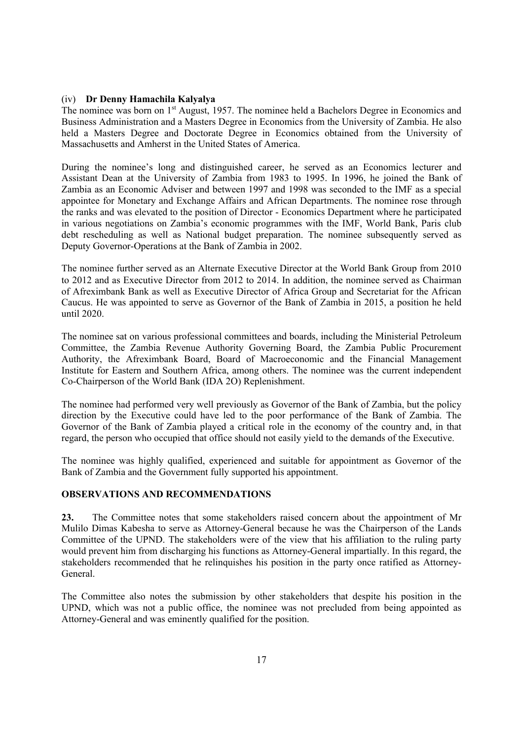#### (iv) **Dr Denny Hamachila Kalyalya**

The nominee was born on 1<sup>st</sup> August, 1957. The nominee held a Bachelors Degree in Economics and Business Administration and a Masters Degree in Economics from the University of Zambia. He also held a Masters Degree and Doctorate Degree in Economics obtained from the University of Massachusetts and Amherst in the United States of America.

During the nominee's long and distinguished career, he served as an Economics lecturer and Assistant Dean at the University of Zambia from 1983 to 1995. In 1996, he joined the Bank of Zambia as an Economic Adviser and between 1997 and 1998 was seconded to the IMF as a special appointee for Monetary and Exchange Affairs and African Departments. The nominee rose through the ranks and was elevated to the position of Director - Economics Department where he participated in various negotiations on Zambia's economic programmes with the IMF, World Bank, Paris club debt rescheduling as well as National budget preparation. The nominee subsequently served as Deputy Governor-Operations at the Bank of Zambia in 2002.

The nominee further served as an Alternate Executive Director at the World Bank Group from 2010 to 2012 and as Executive Director from 2012 to 2014. In addition, the nominee served as Chairman of Afreximbank Bank as well as Executive Director of Africa Group and Secretariat for the African Caucus. He was appointed to serve as Governor of the Bank of Zambia in 2015, a position he held until 2020.

The nominee sat on various professional committees and boards, including the Ministerial Petroleum Committee, the Zambia Revenue Authority Governing Board, the Zambia Public Procurement Authority, the Afreximbank Board, Board of Macroeconomic and the Financial Management Institute for Eastern and Southern Africa, among others. The nominee was the current independent Co-Chairperson of the World Bank (IDA 2O) Replenishment.

The nominee had performed very well previously as Governor of the Bank of Zambia, but the policy direction by the Executive could have led to the poor performance of the Bank of Zambia. The Governor of the Bank of Zambia played a critical role in the economy of the country and, in that regard, the person who occupied that office should not easily yield to the demands of the Executive.

The nominee was highly qualified, experienced and suitable for appointment as Governor of the Bank of Zambia and the Government fully supported his appointment.

# **OBSERVATIONS AND RECOMMENDATIONS**

**23.** The Committee notes that some stakeholders raised concern about the appointment of Mr Mulilo Dimas Kabesha to serve as Attorney-General because he was the Chairperson of the Lands Committee of the UPND. The stakeholders were of the view that his affiliation to the ruling party would prevent him from discharging his functions as Attorney-General impartially. In this regard, the stakeholders recommended that he relinquishes his position in the party once ratified as Attorney-General.

The Committee also notes the submission by other stakeholders that despite his position in the UPND, which was not a public office, the nominee was not precluded from being appointed as Attorney-General and was eminently qualified for the position.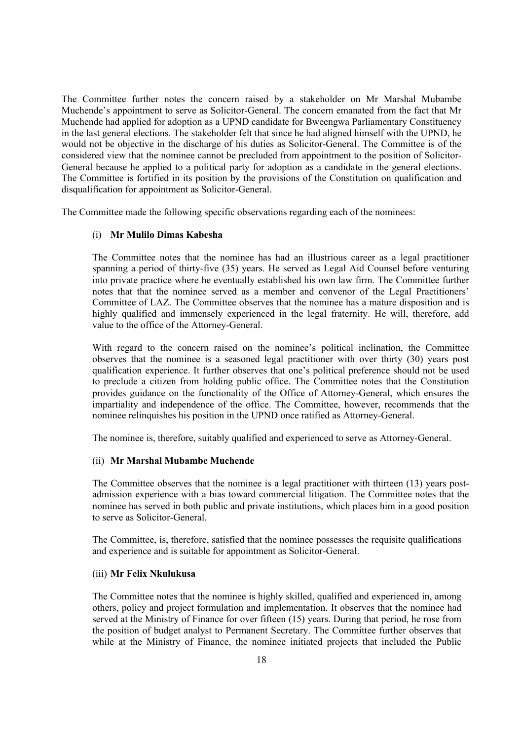The Committee further notes the concern raised by a stakeholder on Mr Marshal Mubambe Muchende's appointment to serve as Solicitor-General. The concern emanated from the fact that Mr Muchende had applied for adoption as a UPND candidate for Bweengwa Parliamentary Constituency in the last general elections. The stakeholder felt that since he had aligned himself with the UPND, he would not be objective in the discharge of his duties as Solicitor-General. The Committee is of the considered view that the nominee cannot be precluded from appointment to the position of Solicitor-General because he applied to a political party for adoption as a candidate in the general elections. The Committee is fortified in its position by the provisions of the Constitution on qualification and disqualification for appointment as Solicitor-General.

The Committee made the following specific observations regarding each of the nominees:

### (i) **Mr Mulilo Dimas Kabesha**

The Committee notes that the nominee has had an illustrious career as a legal practitioner spanning a period of thirty-five (35) years. He served as Legal Aid Counsel before venturing into private practice where he eventually established his own law firm. The Committee further notes that that the nominee served as a member and convenor of the Legal Practitioners' Committee of LAZ. The Committee observes that the nominee has a mature disposition and is highly qualified and immensely experienced in the legal fraternity. He will, therefore, add value to the office of the Attorney-General.

With regard to the concern raised on the nominee's political inclination, the Committee observes that the nominee is a seasoned legal practitioner with over thirty (30) years post qualification experience. It further observes that one's political preference should not be used to preclude a citizen from holding public office. The Committee notes that the Constitution provides guidance on the functionality of the Office of Attorney-General, which ensures the impartiality and independence of the office. The Committee, however, recommends that the nominee relinquishes his position in the UPND once ratified as Attorney-General.

The nominee is, therefore, suitably qualified and experienced to serve as Attorney-General.

#### (ii) **Mr Marshal Mubambe Muchende**

The Committee observes that the nominee is a legal practitioner with thirteen (13) years postadmission experience with a bias toward commercial litigation. The Committee notes that the nominee has served in both public and private institutions, which places him in a good position to serve as Solicitor-General.

The Committee, is, therefore, satisfied that the nominee possesses the requisite qualifications and experience and is suitable for appointment as Solicitor-General.

## (iii) **Mr Felix Nkulukusa**

The Committee notes that the nominee is highly skilled, qualified and experienced in, among others, policy and project formulation and implementation. It observes that the nominee had served at the Ministry of Finance for over fifteen (15) years. During that period, he rose from the position of budget analyst to Permanent Secretary. The Committee further observes that while at the Ministry of Finance, the nominee initiated projects that included the Public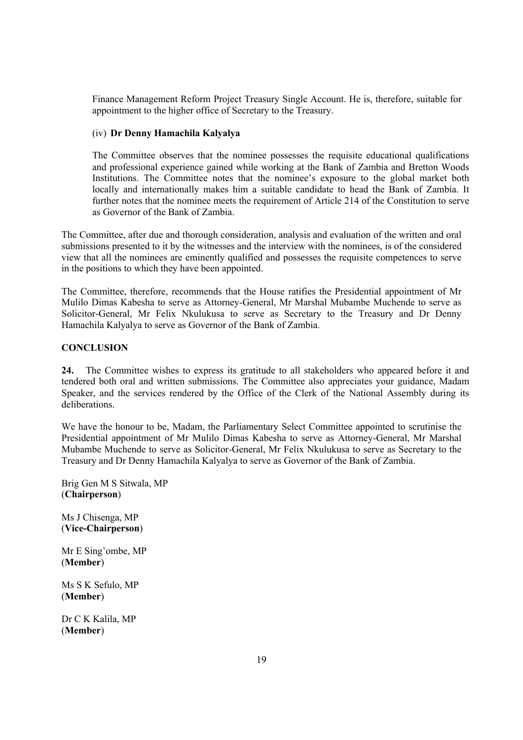Finance Management Reform Project Treasury Single Account. He is, therefore, suitable for appointment to the higher office of Secretary to the Treasury.

# (iv) **Dr Denny Hamachila Kalyalya**

The Committee observes that the nominee possesses the requisite educational qualifications and professional experience gained while working at the Bank of Zambia and Bretton Woods Institutions. The Committee notes that the nominee's exposure to the global market both locally and internationally makes him a suitable candidate to head the Bank of Zambia. It further notes that the nominee meets the requirement of Article 214 of the Constitution to serve as Governor of the Bank of Zambia.

The Committee, after due and thorough consideration, analysis and evaluation of the written and oral submissions presented to it by the witnesses and the interview with the nominees, is of the considered view that all the nominees are eminently qualified and possesses the requisite competences to serve in the positions to which they have been appointed.

The Committee, therefore, recommends that the House ratifies the Presidential appointment of Mr Mulilo Dimas Kabesha to serve as Attorney-General, Mr Marshal Mubambe Muchende to serve as Solicitor-General, Mr Felix Nkulukusa to serve as Secretary to the Treasury and Dr Denny Hamachila Kalyalya to serve as Governor of the Bank of Zambia.

## **CONCLUSION**

**24.** The Committee wishes to express its gratitude to all stakeholders who appeared before it and tendered both oral and written submissions. The Committee also appreciates your guidance, Madam Speaker, and the services rendered by the Office of the Clerk of the National Assembly during its deliberations.

We have the honour to be, Madam, the Parliamentary Select Committee appointed to scrutinise the Presidential appointment of Mr Mulilo Dimas Kabesha to serve as Attorney-General, Mr Marshal Mubambe Muchende to serve as Solicitor-General, Mr Felix Nkulukusa to serve as Secretary to the Treasury and Dr Denny Hamachila Kalyalya to serve as Governor of the Bank of Zambia.

Brig Gen M S Sitwala, MP (**Chairperson**)

Ms J Chisenga, MP (**Vice-Chairperson**)

Mr E Sing'ombe, MP (**Member**)

Ms S K Sefulo, MP (**Member**)

Dr C K Kalila, MP (**Member**)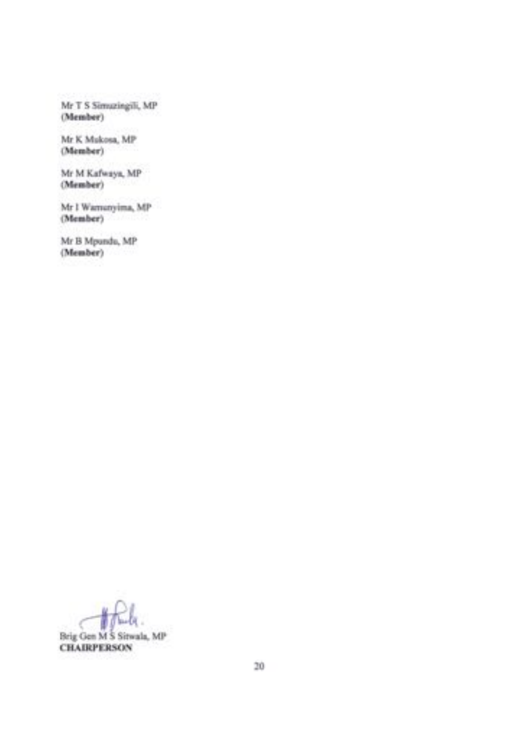Mr T S Simuzingili, MP (Member)

Mr K Mukosa, MP (Member)

Mr M Kafwaya, MP (Member)

Mr I Warnanyima, MP (Member)

Mr B Mpundu, MP (Member)

Brig Gen M S Sitwala, MP

**CHAIRPERSON**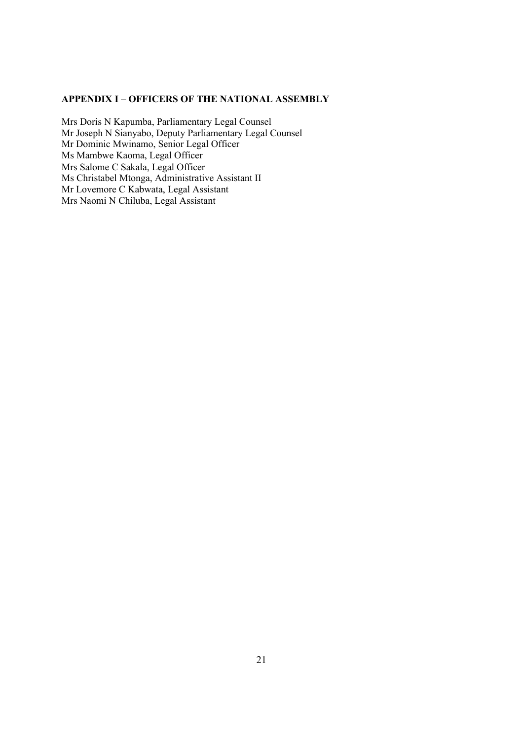# **APPENDIX I – OFFICERS OF THE NATIONAL ASSEMBLY**

Mrs Doris N Kapumba, Parliamentary Legal Counsel Mr Joseph N Sianyabo, Deputy Parliamentary Legal Counsel Mr Dominic Mwinamo, Senior Legal Officer Ms Mambwe Kaoma, Legal Officer Mrs Salome C Sakala, Legal Officer Ms Christabel Mtonga, Administrative Assistant II Mr Lovemore C Kabwata, Legal Assistant Mrs Naomi N Chiluba, Legal Assistant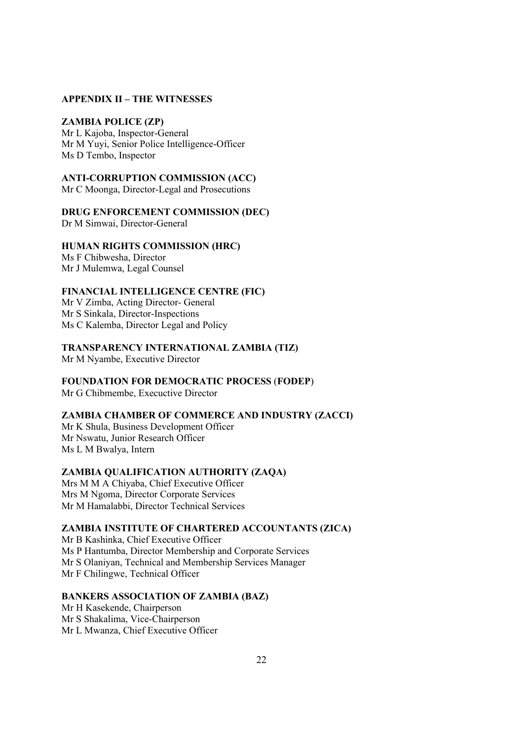#### **APPENDIX II – THE WITNESSES**

# **ZAMBIA POLICE (ZP)**

Mr L Kajoba, Inspector-General Mr M Yuyi, Senior Police Intelligence-Officer Ms D Tembo, Inspector

# **ANTI-CORRUPTION COMMISSION (ACC)**

Mr C Moonga, Director-Legal and Prosecutions

# **DRUG ENFORCEMENT COMMISSION (DEC)**

Dr M Simwai, Director-General

# **HUMAN RIGHTS COMMISSION (HRC)**

Ms F Chibwesha, Director Mr J Mulemwa, Legal Counsel

#### **FINANCIAL INTELLIGENCE CENTRE (FIC)**

Mr V Zimba, Acting Director- General Mr S Sinkala, Director-Inspections Ms C Kalemba, Director Legal and Policy

## **TRANSPARENCY INTERNATIONAL ZAMBIA (TIZ)** Mr M Nyambe, Executive Director

# **FOUNDATION FOR DEMOCRATIC PROCESS** (**FODEP**)

Mr G Chibmembe, Execuctive Director

# **ZAMBIA CHAMBER OF COMMERCE AND INDUSTRY (ZACCI)**

Mr K Shula, Business Development Officer Mr Nswatu, Junior Research Officer Ms L M Bwalya, Intern

# **ZAMBIA QUALIFICATION AUTHORITY (ZAQA)**

Mrs M M A Chiyaba, Chief Executive Officer Mrs M Ngoma, Director Corporate Services Mr M Hamalabbi, Director Technical Services

# **ZAMBIA INSTITUTE OF CHARTERED ACCOUNTANTS (ZICA)**

Mr B Kashinka, Chief Executive Officer Ms P Hantumba, Director Membership and Corporate Services Mr S Olaniyan, Technical and Membership Services Manager Mr F Chilingwe, Technical Officer

#### **BANKERS ASSOCIATION OF ZAMBIA (BAZ)**

Mr H Kasekende, Chairperson Mr S Shakalima, Vice-Chairperson Mr L Mwanza, Chief Executive Officer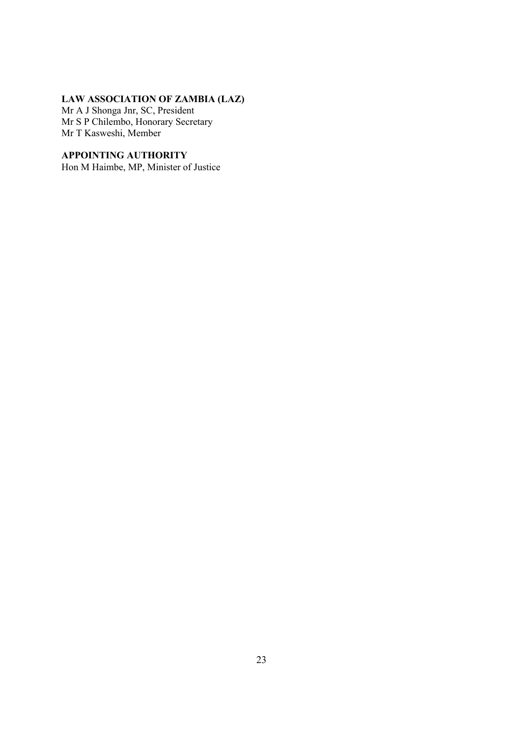# **LAW ASSOCIATION OF ZAMBIA (LAZ)**

Mr A J Shonga Jnr, SC, President Mr S P Chilembo, Honorary Secretary Mr T Kasweshi, Member

# **APPOINTING AUTHORITY**

Hon M Haimbe, MP, Minister of Justice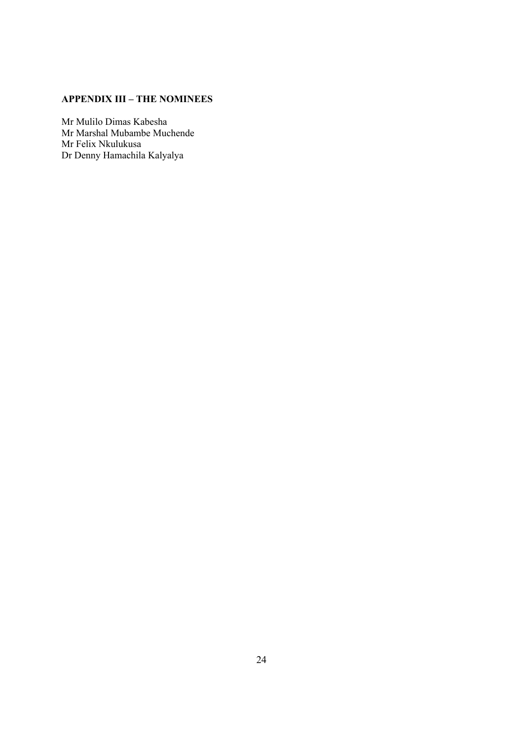# **APPENDIX III – THE NOMINEES**

Mr Mulilo Dimas Kabesha Mr Marshal Mubambe Muchende Mr Felix Nkulukusa Dr Denny Hamachila Kalyalya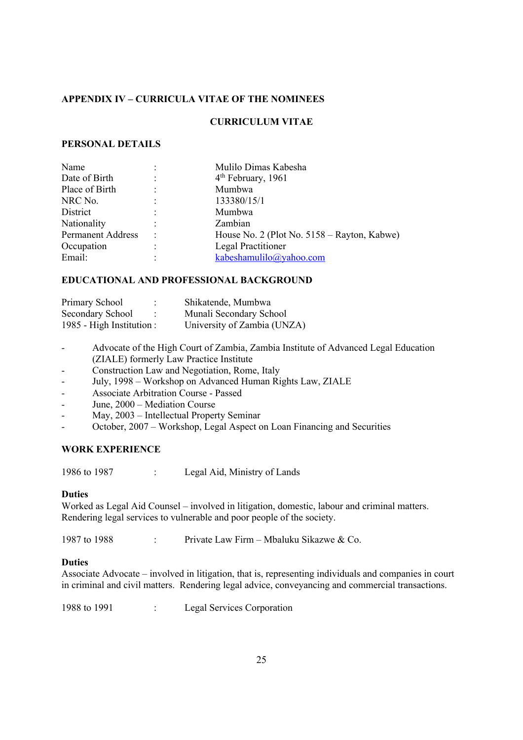# **APPENDIX IV – CURRICULA VITAE OF THE NOMINEES**

# **CURRICULUM VITAE**

# **PERSONAL DETAILS**

|                      | Mulilo Dimas Kabesha                        |
|----------------------|---------------------------------------------|
| $\ddot{\cdot}$       | $4th$ February, 1961                        |
| ٠                    | Mumbwa                                      |
| $\ddot{\phantom{a}}$ | 133380/15/1                                 |
| $\ddot{\cdot}$       | Mumbwa                                      |
| $\ddot{\phantom{a}}$ | Zambian                                     |
| $\ddot{\phantom{a}}$ | House No. 2 (Plot No. 5158 – Rayton, Kabwe) |
| ٠                    | Legal Practitioner                          |
| ٠                    | kabeshamulilo@yahoo.com                     |
|                      |                                             |

## **EDUCATIONAL AND PROFESSIONAL BACKGROUND**

| Primary School            | Shikatende, Mumbwa          |
|---------------------------|-----------------------------|
| Secondary School          | Munali Secondary School     |
| 1985 - High Institution : | University of Zambia (UNZA) |

- Advocate of the High Court of Zambia, Zambia Institute of Advanced Legal Education (ZIALE) formerly Law Practice Institute
- Construction Law and Negotiation, Rome, Italy
- July, 1998 Workshop on Advanced Human Rights Law, ZIALE
- Associate Arbitration Course Passed
- June, 2000 Mediation Course
- May, 2003 Intellectual Property Seminar
- October, 2007 Workshop, Legal Aspect on Loan Financing and Securities

## **WORK EXPERIENCE**

1986 to 1987 : Legal Aid, Ministry of Lands

## **Duties**

Worked as Legal Aid Counsel – involved in litigation, domestic, labour and criminal matters. Rendering legal services to vulnerable and poor people of the society.

1987 to 1988 : Private Law Firm – Mbaluku Sikazwe & Co.

# **Duties**

Associate Advocate – involved in litigation, that is, representing individuals and companies in court in criminal and civil matters. Rendering legal advice, conveyancing and commercial transactions.

1988 to 1991 : Legal Services Corporation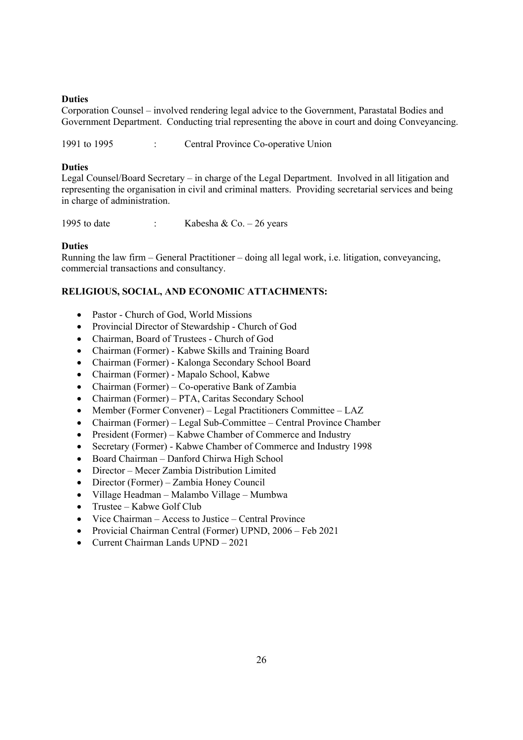# **Duties**

Corporation Counsel – involved rendering legal advice to the Government, Parastatal Bodies and Government Department. Conducting trial representing the above in court and doing Conveyancing.

1991 to 1995 : Central Province Co-operative Union

# **Duties**

Legal Counsel/Board Secretary – in charge of the Legal Department. Involved in all litigation and representing the organisation in civil and criminal matters. Providing secretarial services and being in charge of administration.

1995 to date : Kabesha & Co. – 26 years

# **Duties**

Running the law firm – General Practitioner – doing all legal work, i.e. litigation, conveyancing, commercial transactions and consultancy.

# **RELIGIOUS, SOCIAL, AND ECONOMIC ATTACHMENTS:**

- Pastor Church of God, World Missions
- Provincial Director of Stewardship Church of God
- Chairman, Board of Trustees Church of God
- Chairman (Former) Kabwe Skills and Training Board
- Chairman (Former) Kalonga Secondary School Board
- Chairman (Former) Mapalo School, Kabwe
- Chairman (Former) Co-operative Bank of Zambia
- Chairman (Former) PTA, Caritas Secondary School
- Member (Former Convener) Legal Practitioners Committee LAZ
- Chairman (Former) Legal Sub-Committee Central Province Chamber
- President (Former) Kabwe Chamber of Commerce and Industry
- Secretary (Former) Kabwe Chamber of Commerce and Industry 1998
- Board Chairman Danford Chirwa High School
- Director Mecer Zambia Distribution Limited
- Director (Former) Zambia Honey Council
- Village Headman Malambo Village Mumbwa
- Trustee Kabwe Golf Club
- Vice Chairman Access to Justice Central Province
- Provicial Chairman Central (Former) UPND, 2006 Feb 2021
- Current Chairman Lands UPND 2021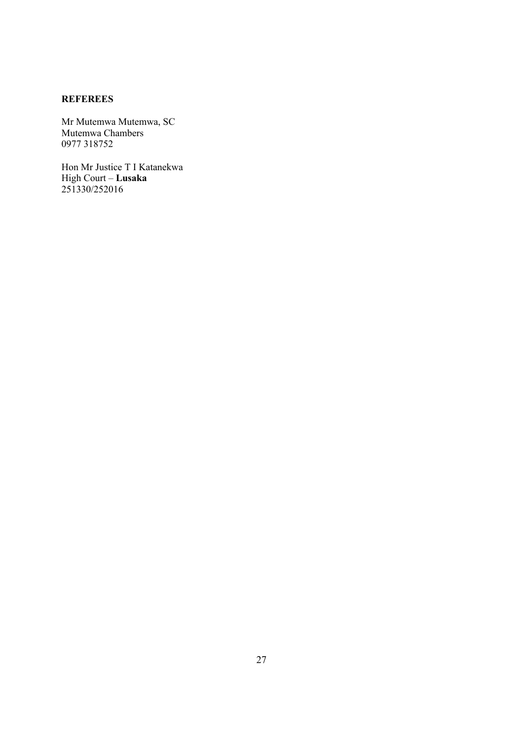# **REFEREES**

Mr Mutemwa Mutemwa, SC Mutemwa Chambers 0977 318752

Hon Mr Justice T I Katanekwa High Court – **Lusaka** 251330/252016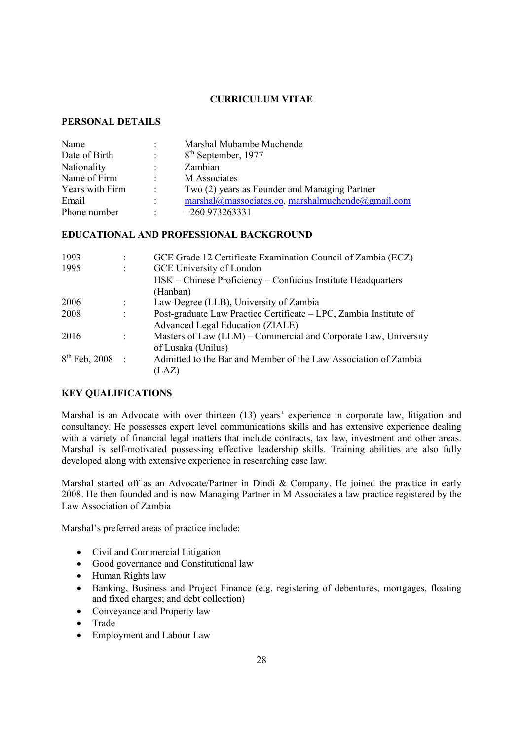# **CURRICULUM VITAE**

# **PERSONAL DETAILS**

| Name            | $\ddot{\phantom{0}}$ | Marshal Mubambe Muchende                         |
|-----------------|----------------------|--------------------------------------------------|
| Date of Birth   | $\ddot{\cdot}$       | 8 <sup>th</sup> September, 1977                  |
| Nationality     | $\ddot{\phantom{a}}$ | Zambian                                          |
| Name of Firm    | $\cdot$              | M Associates                                     |
| Years with Firm | $\ddot{\phantom{a}}$ | Two (2) years as Founder and Managing Partner    |
| Email           | $\ddot{\phantom{a}}$ | marshal@massociates.co.marshalmuchende@gmail.com |
| Phone number    | ٠                    | $+260973263331$                                  |

### **EDUCATIONAL AND PROFESSIONAL BACKGROUND**

| 1993                 |                      | GCE Grade 12 Certificate Examination Council of Zambia (ECZ)      |
|----------------------|----------------------|-------------------------------------------------------------------|
| 1995                 | $\ddot{\cdot}$       | GCE University of London                                          |
|                      |                      | HSK – Chinese Proficiency – Confucius Institute Headquarters      |
|                      |                      | (Hanban)                                                          |
| 2006                 | $\ddot{\cdot}$       | Law Degree (LLB), University of Zambia                            |
| 2008                 | $\ddot{\phantom{0}}$ | Post-graduate Law Practice Certificate – LPC, Zambia Institute of |
|                      |                      | Advanced Legal Education (ZIALE)                                  |
| 2016                 |                      | Masters of Law (LLM) – Commercial and Corporate Law, University   |
|                      |                      | of Lusaka (Unilus)                                                |
| $8^{th}$ Feb, 2008 : |                      | Admitted to the Bar and Member of the Law Association of Zambia   |
|                      |                      | (LAZ)                                                             |

# **KEY QUALIFICATIONS**

Marshal is an Advocate with over thirteen (13) years' experience in corporate law, litigation and consultancy. He possesses expert level communications skills and has extensive experience dealing with a variety of financial legal matters that include contracts, tax law, investment and other areas. Marshal is self-motivated possessing effective leadership skills. Training abilities are also fully developed along with extensive experience in researching case law.

Marshal started off as an Advocate/Partner in Dindi & Company. He joined the practice in early 2008. He then founded and is now Managing Partner in M Associates a law practice registered by the Law Association of Zambia

Marshal's preferred areas of practice include:

- Civil and Commercial Litigation
- Good governance and Constitutional law
- Human Rights law
- Banking, Business and Project Finance (e.g. registering of debentures, mortgages, floating and fixed charges; and debt collection)
- Conveyance and Property law
- Trade
- Employment and Labour Law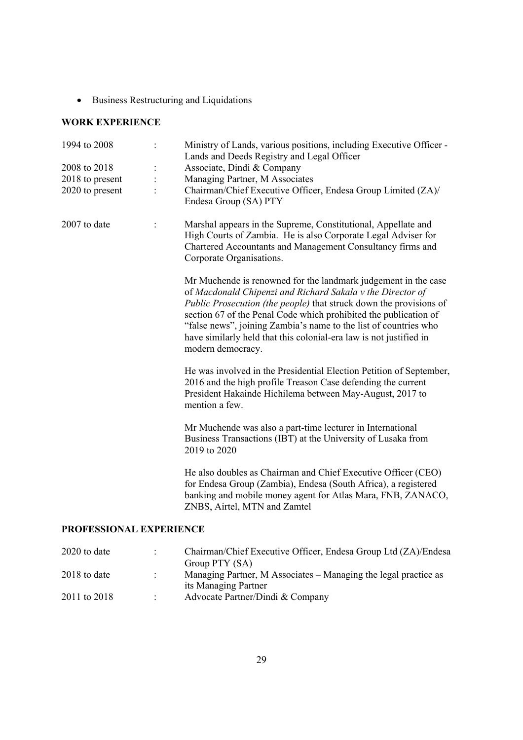• Business Restructuring and Liquidations

# **WORK EXPERIENCE**

| 1994 to 2008        |                | Ministry of Lands, various positions, including Executive Officer -<br>Lands and Deeds Registry and Legal Officer                                                                                                                                                                                                                                                                                                                            |
|---------------------|----------------|----------------------------------------------------------------------------------------------------------------------------------------------------------------------------------------------------------------------------------------------------------------------------------------------------------------------------------------------------------------------------------------------------------------------------------------------|
| 2008 to 2018        | $\ddot{\cdot}$ | Associate, Dindi & Company                                                                                                                                                                                                                                                                                                                                                                                                                   |
| 2018 to present     |                | Managing Partner, M Associates                                                                                                                                                                                                                                                                                                                                                                                                               |
| 2020 to present     |                | Chairman/Chief Executive Officer, Endesa Group Limited (ZA)/<br>Endesa Group (SA) PTY                                                                                                                                                                                                                                                                                                                                                        |
| 2007 to date        |                | Marshal appears in the Supreme, Constitutional, Appellate and<br>High Courts of Zambia. He is also Corporate Legal Adviser for<br>Chartered Accountants and Management Consultancy firms and<br>Corporate Organisations.                                                                                                                                                                                                                     |
|                     |                | Mr Muchende is renowned for the landmark judgement in the case<br>of Macdonald Chipenzi and Richard Sakala v the Director of<br><i>Public Prosecution (the people)</i> that struck down the provisions of<br>section 67 of the Penal Code which prohibited the publication of<br>"false news", joining Zambia's name to the list of countries who<br>have similarly held that this colonial-era law is not justified in<br>modern democracy. |
|                     |                | He was involved in the Presidential Election Petition of September,<br>2016 and the high profile Treason Case defending the current<br>President Hakainde Hichilema between May-August, 2017 to<br>mention a few.                                                                                                                                                                                                                            |
|                     |                | Mr Muchende was also a part-time lecturer in International<br>Business Transactions (IBT) at the University of Lusaka from<br>2019 to 2020                                                                                                                                                                                                                                                                                                   |
|                     |                | He also doubles as Chairman and Chief Executive Officer (CEO)<br>for Endesa Group (Zambia), Endesa (South Africa), a registered<br>banking and mobile money agent for Atlas Mara, FNB, ZANACO,<br>ZNBS, Airtel, MTN and Zamtel                                                                                                                                                                                                               |
| <b>EECCLOMAT EN</b> |                | IDEDIEMAE                                                                                                                                                                                                                                                                                                                                                                                                                                    |

# **PROFESSIONAL EXPERIENCE**

| 2020 to date   |           | Chairman/Chief Executive Officer, Endesa Group Ltd (ZA)/Endesa  |
|----------------|-----------|-----------------------------------------------------------------|
|                |           | Group PTY (SA)                                                  |
| $2018$ to date | $\bullet$ | Managing Partner, M Associates – Managing the legal practice as |
|                |           | its Managing Partner                                            |
| 2011 to 2018   |           | Advocate Partner/Dindi & Company                                |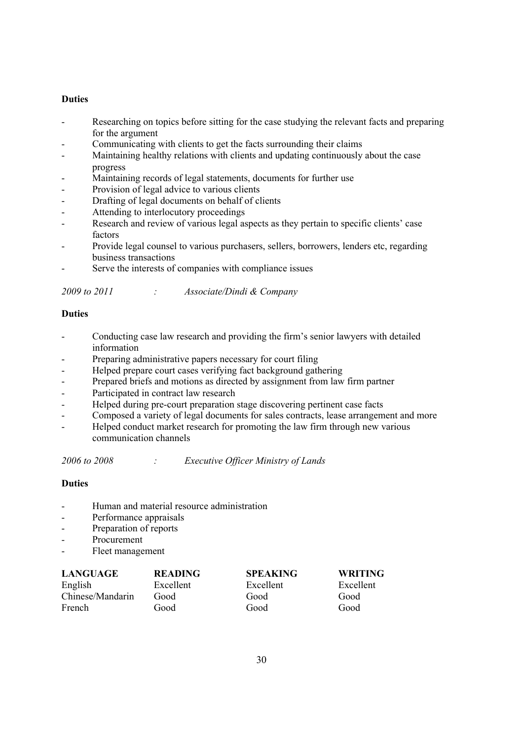# **Duties**

- Researching on topics before sitting for the case studying the relevant facts and preparing for the argument
- Communicating with clients to get the facts surrounding their claims
- Maintaining healthy relations with clients and updating continuously about the case progress
- Maintaining records of legal statements, documents for further use
- Provision of legal advice to various clients
- Drafting of legal documents on behalf of clients
- Attending to interlocutory proceedings
- Research and review of various legal aspects as they pertain to specific clients' case factors
- Provide legal counsel to various purchasers, sellers, borrowers, lenders etc, regarding business transactions
- Serve the interests of companies with compliance issues

|  | 2009 to 2011 |  | Associate/Dindi & Company |
|--|--------------|--|---------------------------|
|--|--------------|--|---------------------------|

# **Duties**

- Conducting case law research and providing the firm's senior lawyers with detailed information
- Preparing administrative papers necessary for court filing
- Helped prepare court cases verifying fact background gathering
- Prepared briefs and motions as directed by assignment from law firm partner
- Participated in contract law research
- Helped during pre-court preparation stage discovering pertinent case facts
- Composed a variety of legal documents for sales contracts, lease arrangement and more
- Helped conduct market research for promoting the law firm through new various communication channels

*2006 to 2008 : Executive Officer Ministry of Lands*

- Human and material resource administration
- Performance appraisals
- Preparation of reports
- Procurement
- Fleet management

| <b>LANGUAGE</b>  | <b>READING</b> | <b>SPEAKING</b> | <b>WRITING</b> |
|------------------|----------------|-----------------|----------------|
| English          | Excellent      | Excellent       | Excellent      |
| Chinese/Mandarin | Good           | Good            | Good           |
| French           | Good           | Good            | Good           |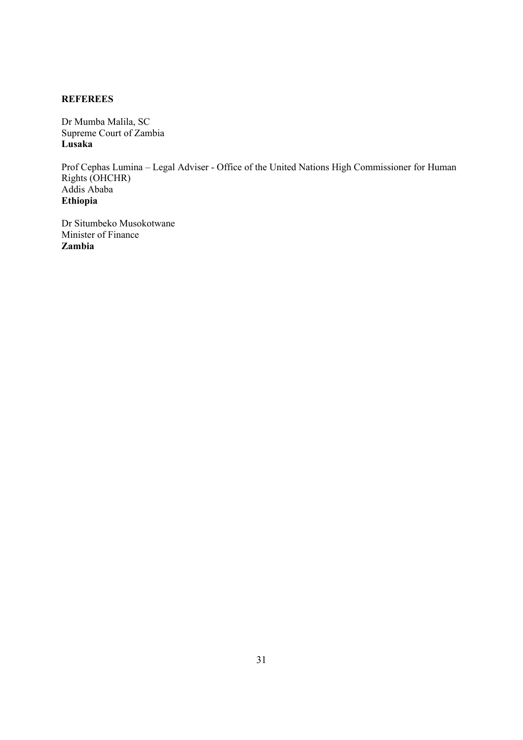# **REFEREES**

Dr Mumba Malila, SC Supreme Court of Zambia **Lusaka**

Prof Cephas Lumina – Legal Adviser - Office of the United Nations High Commissioner for Human Rights (OHCHR) Addis Ababa **Ethiopia**

Dr Situmbeko Musokotwane Minister of Finance **Zambia**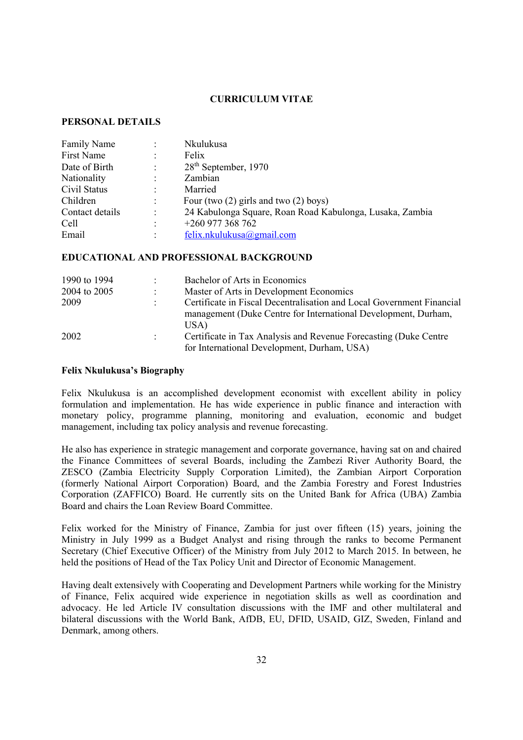# **CURRICULUM VITAE**

# **PERSONAL DETAILS**

| <b>Family Name</b> |                      | Nkulukusa                                                |
|--------------------|----------------------|----------------------------------------------------------|
| First Name         | $\ddot{\phantom{0}}$ | Felix                                                    |
| Date of Birth      | $\ddot{\phantom{a}}$ | $28th$ September, 1970                                   |
| Nationality        |                      | Zambian                                                  |
| Civil Status       | $\bullet$            | Married                                                  |
| Children           | $\ddot{\phantom{0}}$ | Four (two $(2)$ girls and two $(2)$ boys)                |
| Contact details    | $\ddot{\phantom{0}}$ | 24 Kabulonga Square, Roan Road Kabulonga, Lusaka, Zambia |
| Cell               | $\ddot{\cdot}$       | +260 977 368 762                                         |
| Email              | ٠                    | felix.nkulukusa@gmail.com                                |

# **EDUCATIONAL AND PROFESSIONAL BACKGROUND**

| 1990 to 1994 | $\mathcal{L}$ | Bachelor of Arts in Economics                                                                                                           |
|--------------|---------------|-----------------------------------------------------------------------------------------------------------------------------------------|
| 2004 to 2005 | $\mathcal{L}$ | Master of Arts in Development Economics                                                                                                 |
| 2009         |               | Certificate in Fiscal Decentralisation and Local Government Financial<br>management (Duke Centre for International Development, Durham, |
| 2002         |               | USA)<br>Certificate in Tax Analysis and Revenue Forecasting (Duke Centre                                                                |
|              |               | for International Development, Durham, USA)                                                                                             |

## **Felix Nkulukusa's Biography**

Felix Nkulukusa is an accomplished development economist with excellent ability in policy formulation and implementation. He has wide experience in public finance and interaction with monetary policy, programme planning, monitoring and evaluation, economic and budget management, including tax policy analysis and revenue forecasting.

He also has experience in strategic management and corporate governance, having sat on and chaired the Finance Committees of several Boards, including the Zambezi River Authority Board, the ZESCO (Zambia Electricity Supply Corporation Limited), the Zambian Airport Corporation (formerly National Airport Corporation) Board, and the Zambia Forestry and Forest Industries Corporation (ZAFFICO) Board. He currently sits on the United Bank for Africa (UBA) Zambia Board and chairs the Loan Review Board Committee.

Felix worked for the Ministry of Finance, Zambia for just over fifteen (15) years, joining the Ministry in July 1999 as a Budget Analyst and rising through the ranks to become Permanent Secretary (Chief Executive Officer) of the Ministry from July 2012 to March 2015. In between, he held the positions of Head of the Tax Policy Unit and Director of Economic Management.

Having dealt extensively with Cooperating and Development Partners while working for the Ministry of Finance, Felix acquired wide experience in negotiation skills as well as coordination and advocacy. He led Article IV consultation discussions with the IMF and other multilateral and bilateral discussions with the World Bank, AfDB, EU, DFID, USAID, GIZ, Sweden, Finland and Denmark, among others.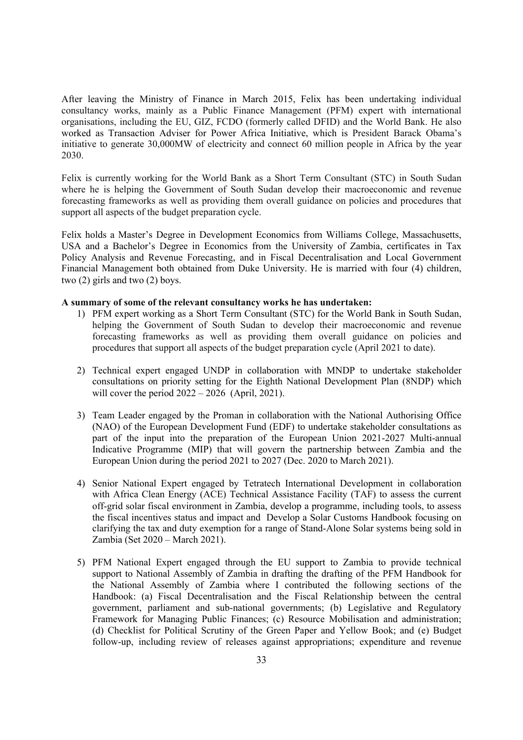After leaving the Ministry of Finance in March 2015, Felix has been undertaking individual consultancy works, mainly as a Public Finance Management (PFM) expert with international organisations, including the EU, GIZ, FCDO (formerly called DFID) and the World Bank. He also worked as Transaction Adviser for Power Africa Initiative, which is President Barack Obama's initiative to generate 30,000MW of electricity and connect 60 million people in Africa by the year 2030.

Felix is currently working for the World Bank as a Short Term Consultant (STC) in South Sudan where he is helping the Government of South Sudan develop their macroeconomic and revenue forecasting frameworks as well as providing them overall guidance on policies and procedures that support all aspects of the budget preparation cycle.

Felix holds a Master's Degree in Development Economics from Williams College, Massachusetts, USA and a Bachelor's Degree in Economics from the University of Zambia, certificates in Tax Policy Analysis and Revenue Forecasting, and in Fiscal Decentralisation and Local Government Financial Management both obtained from Duke University. He is married with four (4) children, two (2) girls and two (2) boys.

## **A summary of some of the relevant consultancy works he has undertaken:**

- 1) PFM expert working as a Short Term Consultant (STC) for the World Bank in South Sudan, helping the Government of South Sudan to develop their macroeconomic and revenue forecasting frameworks as well as providing them overall guidance on policies and procedures that support all aspects of the budget preparation cycle (April 2021 to date).
- 2) Technical expert engaged UNDP in collaboration with MNDP to undertake stakeholder consultations on priority setting for the Eighth National Development Plan (8NDP) which will cover the period  $2022 - 2026$  (April, 2021).
- 3) Team Leader engaged by the Proman in collaboration with the National Authorising Office (NAO) of the European Development Fund (EDF) to undertake stakeholder consultations as part of the input into the preparation of the European Union 2021-2027 Multi-annual Indicative Programme (MIP) that will govern the partnership between Zambia and the European Union during the period 2021 to 2027 (Dec. 2020 to March 2021).
- 4) Senior National Expert engaged by Tetratech International Development in collaboration with Africa Clean Energy (ACE) Technical Assistance Facility (TAF) to assess the current off-grid solar fiscal environment in Zambia, develop a programme, including tools, to assess the fiscal incentives status and impact and Develop a Solar Customs Handbook focusing on clarifying the tax and duty exemption for a range of Stand-Alone Solar systems being sold in Zambia (Set 2020 – March 2021).
- 5) PFM National Expert engaged through the EU support to Zambia to provide technical support to National Assembly of Zambia in drafting the drafting of the PFM Handbook for the National Assembly of Zambia where I contributed the following sections of the Handbook: (a) Fiscal Decentralisation and the Fiscal Relationship between the central government, parliament and sub-national governments; (b) Legislative and Regulatory Framework for Managing Public Finances; (c) Resource Mobilisation and administration; (d) Checklist for Political Scrutiny of the Green Paper and Yellow Book; and (e) Budget follow-up, including review of releases against appropriations; expenditure and revenue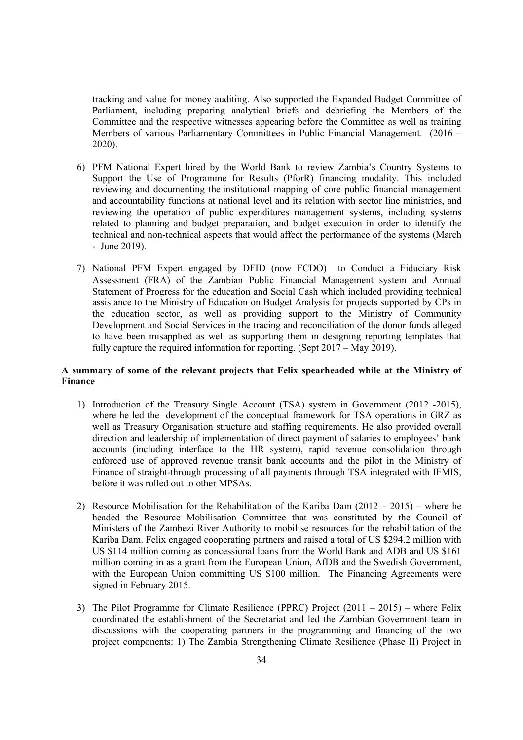tracking and value for money auditing. Also supported the Expanded Budget Committee of Parliament, including preparing analytical briefs and debriefing the Members of the Committee and the respective witnesses appearing before the Committee as well as training Members of various Parliamentary Committees in Public Financial Management. (2016 – 2020).

- 6) PFM National Expert hired by the World Bank to review Zambia's Country Systems to Support the Use of Programme for Results (PforR) financing modality. This included reviewing and documenting the institutional mapping of core public financial management and accountability functions at national level and its relation with sector line ministries, and reviewing the operation of public expenditures management systems, including systems related to planning and budget preparation, and budget execution in order to identify the technical and non-technical aspects that would affect the performance of the systems (March - June 2019).
- 7) National PFM Expert engaged by DFID (now FCDO) to Conduct a Fiduciary Risk Assessment (FRA) of the Zambian Public Financial Management system and Annual Statement of Progress for the education and Social Cash which included providing technical assistance to the Ministry of Education on Budget Analysis for projects supported by CPs in the education sector, as well as providing support to the Ministry of Community Development and Social Services in the tracing and reconciliation of the donor funds alleged to have been misapplied as well as supporting them in designing reporting templates that fully capture the required information for reporting. (Sept 2017 – May 2019).

# **A summary of some of the relevant projects that Felix spearheaded while at the Ministry of Finance**

- 1) Introduction of the Treasury Single Account (TSA) system in Government (2012 -2015), where he led the development of the conceptual framework for TSA operations in GRZ as well as Treasury Organisation structure and staffing requirements. He also provided overall direction and leadership of implementation of direct payment of salaries to employees' bank accounts (including interface to the HR system), rapid revenue consolidation through enforced use of approved revenue transit bank accounts and the pilot in the Ministry of Finance of straight-through processing of all payments through TSA integrated with IFMIS, before it was rolled out to other MPSAs.
- 2) Resource Mobilisation for the Rehabilitation of the Kariba Dam  $(2012 2015)$  where he headed the Resource Mobilisation Committee that was constituted by the Council of Ministers of the Zambezi River Authority to mobilise resources for the rehabilitation of the Kariba Dam. Felix engaged cooperating partners and raised a total of US \$294.2 million with US \$114 million coming as concessional loans from the World Bank and ADB and US \$161 million coming in as a grant from the European Union, AfDB and the Swedish Government, with the European Union committing US \$100 million. The Financing Agreements were signed in February 2015.
- 3) The Pilot Programme for Climate Resilience (PPRC) Project  $(2011 2015)$  where Felix coordinated the establishment of the Secretariat and led the Zambian Government team in discussions with the cooperating partners in the programming and financing of the two project components: 1) The Zambia Strengthening Climate Resilience (Phase II) Project in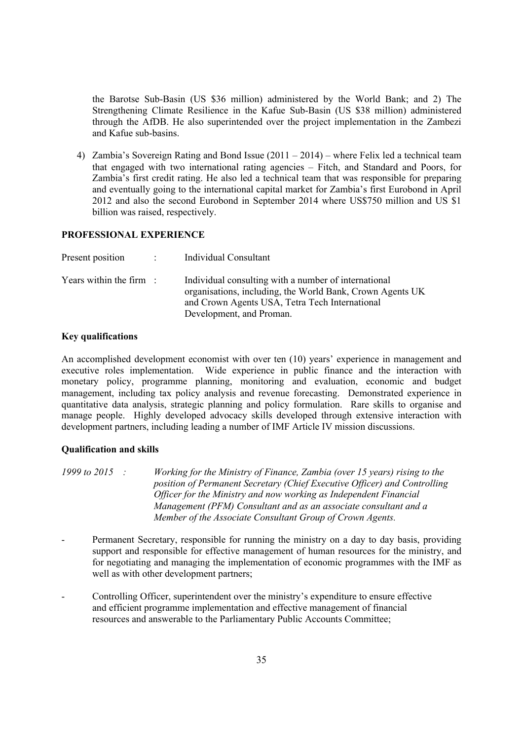the Barotse Sub-Basin (US \$36 million) administered by the World Bank; and 2) The Strengthening Climate Resilience in the Kafue Sub-Basin (US \$38 million) administered through the AfDB. He also superintended over the project implementation in the Zambezi and Kafue sub-basins.

4) Zambia's Sovereign Rating and Bond Issue (2011 – 2014) – where Felix led a technical team that engaged with two international rating agencies – Fitch, and Standard and Poors, for Zambia's first credit rating. He also led a technical team that was responsible for preparing and eventually going to the international capital market for Zambia's first Eurobond in April 2012 and also the second Eurobond in September 2014 where US\$750 million and US \$1 billion was raised, respectively.

### **PROFESSIONAL EXPERIENCE**

| Present position                   | : Individual Consultant                                                                                                                                                                         |
|------------------------------------|-------------------------------------------------------------------------------------------------------------------------------------------------------------------------------------------------|
| Years within the firm $\therefore$ | Individual consulting with a number of international<br>organisations, including, the World Bank, Crown Agents UK<br>and Crown Agents USA, Tetra Tech International<br>Development, and Proman. |

# **Key qualifications**

An accomplished development economist with over ten (10) years' experience in management and executive roles implementation. Wide experience in public finance and the interaction with monetary policy, programme planning, monitoring and evaluation, economic and budget management, including tax policy analysis and revenue forecasting. Demonstrated experience in quantitative data analysis, strategic planning and policy formulation. Rare skills to organise and manage people. Highly developed advocacy skills developed through extensive interaction with development partners, including leading a number of IMF Article IV mission discussions.

# **Qualification and skills**

*1999 to 2015 : Working for the Ministry of Finance, Zambia (over 15 years) rising to the position of Permanent Secretary (Chief Executive Officer) and Controlling Officer for the Ministry and now working as Independent Financial Management (PFM) Consultant and as an associate consultant and a Member of the Associate Consultant Group of Crown Agents.*

- Permanent Secretary, responsible for running the ministry on a day to day basis, providing support and responsible for effective management of human resources for the ministry, and for negotiating and managing the implementation of economic programmes with the IMF as well as with other development partners;
- Controlling Officer, superintendent over the ministry's expenditure to ensure effective and efficient programme implementation and effective management of financial resources and answerable to the Parliamentary Public Accounts Committee;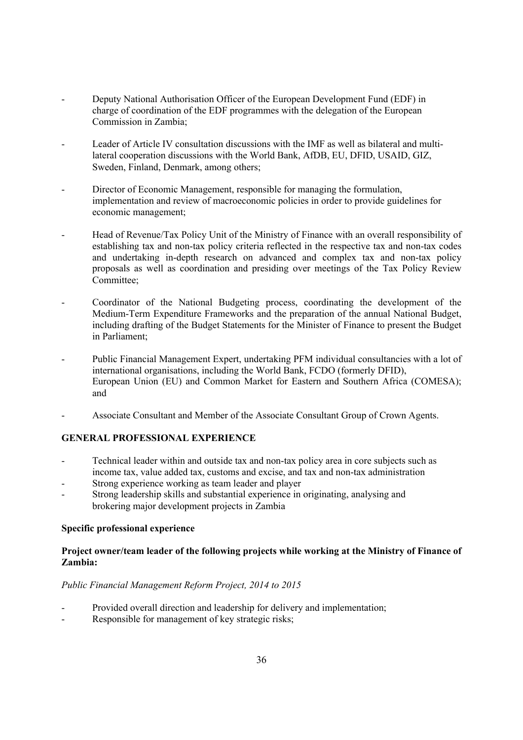- Deputy National Authorisation Officer of the European Development Fund (EDF) in charge of coordination of the EDF programmes with the delegation of the European Commission in Zambia;
- Leader of Article IV consultation discussions with the IMF as well as bilateral and multilateral cooperation discussions with the World Bank, AfDB, EU, DFID, USAID, GIZ, Sweden, Finland, Denmark, among others;
- Director of Economic Management, responsible for managing the formulation, implementation and review of macroeconomic policies in order to provide guidelines for economic management;
- Head of Revenue/Tax Policy Unit of the Ministry of Finance with an overall responsibility of establishing tax and non-tax policy criteria reflected in the respective tax and non-tax codes and undertaking in-depth research on advanced and complex tax and non-tax policy proposals as well as coordination and presiding over meetings of the Tax Policy Review Committee;
- Coordinator of the National Budgeting process, coordinating the development of the Medium-Term Expenditure Frameworks and the preparation of the annual National Budget, including drafting of the Budget Statements for the Minister of Finance to present the Budget in Parliament;
- Public Financial Management Expert, undertaking PFM individual consultancies with a lot of international organisations, including the World Bank, FCDO (formerly DFID), European Union (EU) and Common Market for Eastern and Southern Africa (COMESA); and
- Associate Consultant and Member of the Associate Consultant Group of Crown Agents.

# **GENERAL PROFESSIONAL EXPERIENCE**

- Technical leader within and outside tax and non-tax policy area in core subjects such as income tax, value added tax, customs and excise, and tax and non-tax administration
- Strong experience working as team leader and player
- Strong leadership skills and substantial experience in originating, analysing and brokering major development projects in Zambia

# **Specific professional experience**

# **Project owner/team leader of the following projects while working at the Ministry of Finance of Zambia:**

# *Public Financial Management Reform Project, 2014 to 2015*

- Provided overall direction and leadership for delivery and implementation;
- Responsible for management of key strategic risks;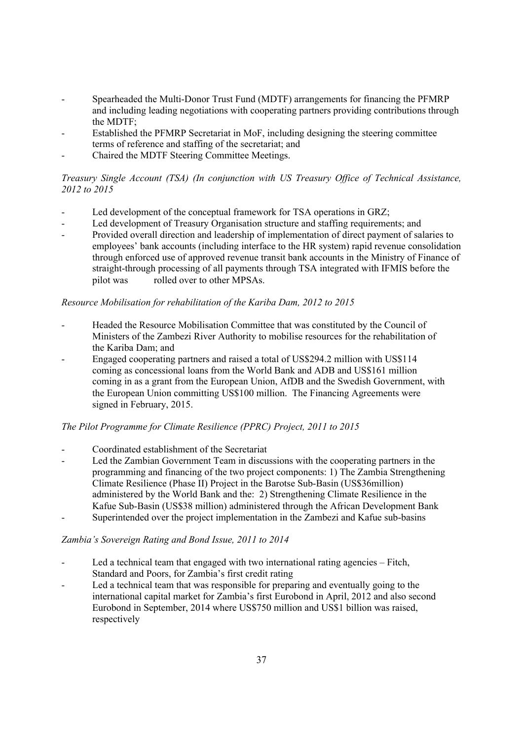- Spearheaded the Multi-Donor Trust Fund (MDTF) arrangements for financing the PFMRP and including leading negotiations with cooperating partners providing contributions through the MDTF;
- Established the PFMRP Secretariat in MoF, including designing the steering committee terms of reference and staffing of the secretariat; and
- Chaired the MDTF Steering Committee Meetings.

# *Treasury Single Account (TSA) (In conjunction with US Treasury Office of Technical Assistance, 2012 to 2015*

- Led development of the conceptual framework for TSA operations in GRZ;
- Led development of Treasury Organisation structure and staffing requirements; and
- Provided overall direction and leadership of implementation of direct payment of salaries to employees' bank accounts (including interface to the HR system) rapid revenue consolidation through enforced use of approved revenue transit bank accounts in the Ministry of Finance of straight-through processing of all payments through TSA integrated with IFMIS before the pilot was rolled over to other MPSAs.

# *Resource Mobilisation for rehabilitation of the Kariba Dam, 2012 to 2015*

- Headed the Resource Mobilisation Committee that was constituted by the Council of Ministers of the Zambezi River Authority to mobilise resources for the rehabilitation of the Kariba Dam; and
- Engaged cooperating partners and raised a total of US\$294.2 million with US\$114 coming as concessional loans from the World Bank and ADB and US\$161 million coming in as a grant from the European Union, AfDB and the Swedish Government, with the European Union committing US\$100 million. The Financing Agreements were signed in February, 2015.

# *The Pilot Programme for Climate Resilience (PPRC) Project, 2011 to 2015*

- Coordinated establishment of the Secretariat
- Led the Zambian Government Team in discussions with the cooperating partners in the programming and financing of the two project components: 1) The Zambia Strengthening Climate Resilience (Phase II) Project in the Barotse Sub-Basin (US\$36million) administered by the World Bank and the: 2) Strengthening Climate Resilience in the Kafue Sub-Basin (US\$38 million) administered through the African Development Bank
- Superintended over the project implementation in the Zambezi and Kafue sub-basins

# *Zambia's Sovereign Rating and Bond Issue, 2011 to 2014*

- Led a technical team that engaged with two international rating agencies Fitch, Standard and Poors, for Zambia's first credit rating
- Led a technical team that was responsible for preparing and eventually going to the international capital market for Zambia's first Eurobond in April, 2012 and also second Eurobond in September, 2014 where US\$750 million and US\$1 billion was raised, respectively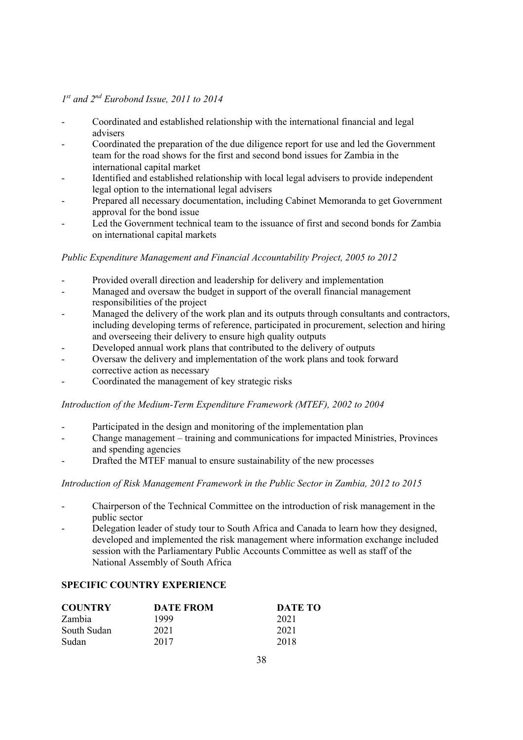# *1st and 2nd Eurobond Issue, 2011 to 2014*

- Coordinated and established relationship with the international financial and legal advisers
- Coordinated the preparation of the due diligence report for use and led the Government team for the road shows for the first and second bond issues for Zambia in the international capital market
- Identified and established relationship with local legal advisers to provide independent legal option to the international legal advisers
- Prepared all necessary documentation, including Cabinet Memoranda to get Government approval for the bond issue
- Led the Government technical team to the issuance of first and second bonds for Zambia on international capital markets

# *Public Expenditure Management and Financial Accountability Project, 2005 to 2012*

- Provided overall direction and leadership for delivery and implementation
- Managed and oversaw the budget in support of the overall financial management responsibilities of the project
- Managed the delivery of the work plan and its outputs through consultants and contractors, including developing terms of reference, participated in procurement, selection and hiring and overseeing their delivery to ensure high quality outputs
- Developed annual work plans that contributed to the delivery of outputs
- Oversaw the delivery and implementation of the work plans and took forward corrective action as necessary
- Coordinated the management of key strategic risks

# *Introduction of the Medium-Term Expenditure Framework (MTEF), 2002 to 2004*

- Participated in the design and monitoring of the implementation plan
- Change management training and communications for impacted Ministries, Provinces and spending agencies
- Drafted the MTEF manual to ensure sustainability of the new processes

### *Introduction of Risk Management Framework in the Public Sector in Zambia, 2012 to 2015*

- Chairperson of the Technical Committee on the introduction of risk management in the public sector
- Delegation leader of study tour to South Africa and Canada to learn how they designed, developed and implemented the risk management where information exchange included session with the Parliamentary Public Accounts Committee as well as staff of the National Assembly of South Africa

# **SPECIFIC COUNTRY EXPERIENCE**

| <b>COUNTRY</b> | <b>DATE FROM</b> | DATE TO |
|----------------|------------------|---------|
| Zambia         | 1999             | 2021    |
| South Sudan    | 2021             | 2021    |
| Sudan          | 2017             | 2018    |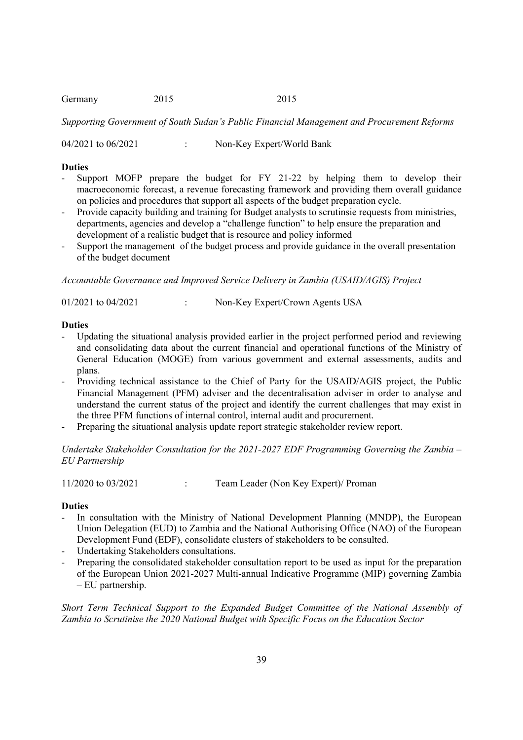| Germany | 2015 | 2015 |
|---------|------|------|
|---------|------|------|

*Supporting Government of South Sudan's Public Financial Management and Procurement Reforms*

04/2021 to 06/2021 : Non-Key Expert/World Bank

## **Duties**

- Support MOFP prepare the budget for FY 21-22 by helping them to develop their macroeconomic forecast, a revenue forecasting framework and providing them overall guidance on policies and procedures that support all aspects of the budget preparation cycle.
- Provide capacity building and training for Budget analysts to scrutinsie requests from ministries, departments, agencies and develop a "challenge function" to help ensure the preparation and development of a realistic budget that is resource and policy informed
- Support the management of the budget process and provide guidance in the overall presentation of the budget document

*Accountable Governance and Improved Service Delivery in Zambia (USAID/AGIS) Project*

01/2021 to 04/2021 : Non-Key Expert/Crown Agents USA

## **Duties**

- Updating the situational analysis provided earlier in the project performed period and reviewing and consolidating data about the current financial and operational functions of the Ministry of General Education (MOGE) from various government and external assessments, audits and plans.
- Providing technical assistance to the Chief of Party for the USAID/AGIS project, the Public Financial Management (PFM) adviser and the decentralisation adviser in order to analyse and understand the current status of the project and identify the current challenges that may exist in the three PFM functions of internal control, internal audit and procurement.
- Preparing the situational analysis update report strategic stakeholder review report.

*Undertake Stakeholder Consultation for the 2021-2027 EDF Programming Governing the Zambia – EU Partnership*

11/2020 to 03/2021 : Team Leader (Non Key Expert)/ Proman

# **Duties**

- In consultation with the Ministry of National Development Planning (MNDP), the European Union Delegation (EUD) to Zambia and the National Authorising Office (NAO) of the European Development Fund (EDF), consolidate clusters of stakeholders to be consulted.
- Undertaking Stakeholders consultations.
- Preparing the consolidated stakeholder consultation report to be used as input for the preparation of the European Union 2021-2027 Multi-annual Indicative Programme (MIP) governing Zambia – EU partnership.

*Short Term Technical Support to the Expanded Budget Committee of the National Assembly of Zambia to Scrutinise the 2020 National Budget with Specific Focus on the Education Sector*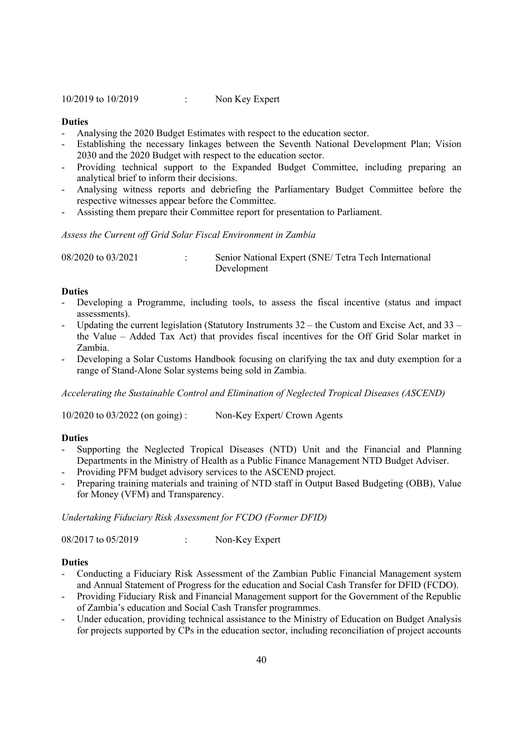10/2019 to 10/2019 : Non Key Expert

### **Duties**

- Analysing the 2020 Budget Estimates with respect to the education sector.
- Establishing the necessary linkages between the Seventh National Development Plan; Vision 2030 and the 2020 Budget with respect to the education sector.
- Providing technical support to the Expanded Budget Committee, including preparing an analytical brief to inform their decisions.
- Analysing witness reports and debriefing the Parliamentary Budget Committee before the respective witnesses appear before the Committee.
- Assisting them prepare their Committee report for presentation to Parliament.

## *Assess the Current off Grid Solar Fiscal Environment in Zambia*

| 08/2020 to 03/2021 | Senior National Expert (SNE/ Tetra Tech International |
|--------------------|-------------------------------------------------------|
|                    | Development                                           |

#### **Duties**

- Developing a Programme, including tools, to assess the fiscal incentive (status and impact assessments).
- Updating the current legislation (Statutory Instruments  $32 -$  the Custom and Excise Act, and  $33$ the Value – Added Tax Act) that provides fiscal incentives for the Off Grid Solar market in Zambia.
- Developing a Solar Customs Handbook focusing on clarifying the tax and duty exemption for a range of Stand-Alone Solar systems being sold in Zambia.

*Accelerating the Sustainable Control and Elimination of Neglected Tropical Diseases (ASCEND)*

10/2020 to 03/2022 (on going) : Non-Key Expert/ Crown Agents

#### **Duties**

- Supporting the Neglected Tropical Diseases (NTD) Unit and the Financial and Planning Departments in the Ministry of Health as a Public Finance Management NTD Budget Adviser.
- Providing PFM budget advisory services to the ASCEND project.
- Preparing training materials and training of NTD staff in Output Based Budgeting (OBB), Value for Money (VFM) and Transparency.

*Undertaking Fiduciary Risk Assessment for FCDO (Former DFID)*

08/2017 to 05/2019 : Non-Key Expert

- Conducting a Fiduciary Risk Assessment of the Zambian Public Financial Management system and Annual Statement of Progress for the education and Social Cash Transfer for DFID (FCDO).
- Providing Fiduciary Risk and Financial Management support for the Government of the Republic of Zambia's education and Social Cash Transfer programmes.
- Under education, providing technical assistance to the Ministry of Education on Budget Analysis for projects supported by CPs in the education sector, including reconciliation of project accounts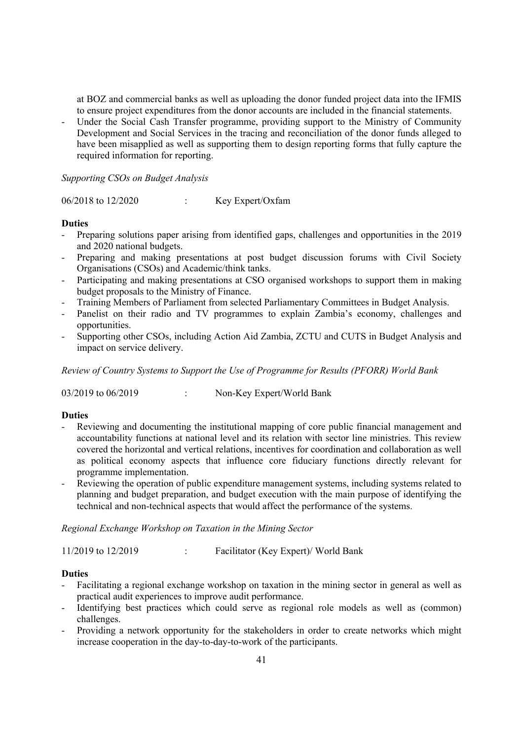at BOZ and commercial banks as well as uploading the donor funded project data into the IFMIS to ensure project expenditures from the donor accounts are included in the financial statements.

Under the Social Cash Transfer programme, providing support to the Ministry of Community Development and Social Services in the tracing and reconciliation of the donor funds alleged to have been misapplied as well as supporting them to design reporting forms that fully capture the required information for reporting.

*Supporting CSOs on Budget Analysis*

06/2018 to 12/2020 : Key Expert/Oxfam

# **Duties**

- Preparing solutions paper arising from identified gaps, challenges and opportunities in the 2019 and 2020 national budgets.
- Preparing and making presentations at post budget discussion forums with Civil Society Organisations (CSOs) and Academic/think tanks.
- Participating and making presentations at CSO organised workshops to support them in making budget proposals to the Ministry of Finance.
- Training Members of Parliament from selected Parliamentary Committees in Budget Analysis.
- Panelist on their radio and TV programmes to explain Zambia's economy, challenges and opportunities.
- Supporting other CSOs, including Action Aid Zambia, ZCTU and CUTS in Budget Analysis and impact on service delivery.

*Review of Country Systems to Support the Use of Programme for Results (PFORR) World Bank*

03/2019 to 06/2019 : Non-Key Expert/World Bank

# **Duties**

- Reviewing and documenting the institutional mapping of core public financial management and accountability functions at national level and its relation with sector line ministries. This review covered the horizontal and vertical relations, incentives for coordination and collaboration as well as political economy aspects that influence core fiduciary functions directly relevant for programme implementation.
- Reviewing the operation of public expenditure management systems, including systems related to planning and budget preparation, and budget execution with the main purpose of identifying the technical and non-technical aspects that would affect the performance of the systems.

*Regional Exchange Workshop on Taxation in the Mining Sector*

11/2019 to 12/2019 : Facilitator (Key Expert)/ World Bank

- Facilitating a regional exchange workshop on taxation in the mining sector in general as well as practical audit experiences to improve audit performance.
- Identifying best practices which could serve as regional role models as well as (common) challenges.
- Providing a network opportunity for the stakeholders in order to create networks which might increase cooperation in the day-to-day-to-work of the participants.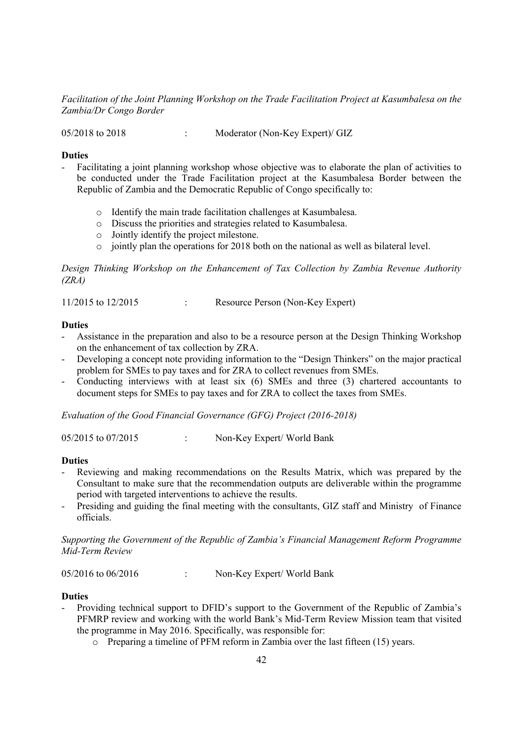*Facilitation of the Joint Planning Workshop on the Trade Facilitation Project at Kasumbalesa on the Zambia/Dr Congo Border*

05/2018 to 2018 : Moderator (Non-Key Expert)/ GIZ

## **Duties**

- Facilitating a joint planning workshop whose objective was to elaborate the plan of activities to be conducted under the Trade Facilitation project at the Kasumbalesa Border between the Republic of Zambia and the Democratic Republic of Congo specifically to:
	- o Identify the main trade facilitation challenges at Kasumbalesa.
	- o Discuss the priorities and strategies related to Kasumbalesa.
	- o Jointly identify the project milestone.
	- o jointly plan the operations for 2018 both on the national as well as bilateral level.

*Design Thinking Workshop on the Enhancement of Tax Collection by Zambia Revenue Authority (ZRA)*

11/2015 to 12/2015 : Resource Person (Non-Key Expert)

# **Duties**

- Assistance in the preparation and also to be a resource person at the Design Thinking Workshop on the enhancement of tax collection by ZRA.
- Developing a concept note providing information to the "Design Thinkers" on the major practical problem for SMEs to pay taxes and for ZRA to collect revenues from SMEs.
- Conducting interviews with at least six (6) SMEs and three (3) chartered accountants to document steps for SMEs to pay taxes and for ZRA to collect the taxes from SMEs.

*Evaluation of the Good Financial Governance (GFG) Project (2016-2018)*

05/2015 to 07/2015 : Non-Key Expert/ World Bank

### **Duties**

- Reviewing and making recommendations on the Results Matrix, which was prepared by the Consultant to make sure that the recommendation outputs are deliverable within the programme period with targeted interventions to achieve the results.
- Presiding and guiding the final meeting with the consultants, GIZ staff and Ministry of Finance officials.

*Supporting the Government of the Republic of Zambia's Financial Management Reform Programme Mid-Term Review*

05/2016 to 06/2016 : Non-Key Expert/ World Bank

- Providing technical support to DFID's support to the Government of the Republic of Zambia's PFMRP review and working with the world Bank's Mid-Term Review Mission team that visited the programme in May 2016. Specifically, was responsible for:
	- o Preparing a timeline of PFM reform in Zambia over the last fifteen (15) years.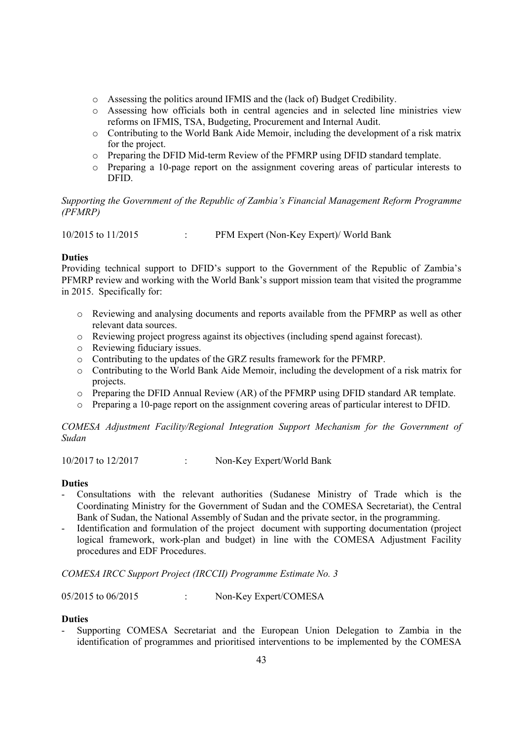- o Assessing the politics around IFMIS and the (lack of) Budget Credibility.
- o Assessing how officials both in central agencies and in selected line ministries view reforms on IFMIS, TSA, Budgeting, Procurement and Internal Audit.
- o Contributing to the World Bank Aide Memoir, including the development of a risk matrix for the project.
- o Preparing the DFID Mid-term Review of the PFMRP using DFID standard template.
- o Preparing a 10-page report on the assignment covering areas of particular interests to DFID.

# *Supporting the Government of the Republic of Zambia's Financial Management Reform Programme (PFMRP)*

10/2015 to 11/2015 : PFM Expert (Non-Key Expert)/ World Bank

# **Duties**

Providing technical support to DFID's support to the Government of the Republic of Zambia's PFMRP review and working with the World Bank's support mission team that visited the programme in 2015. Specifically for:

- o Reviewing and analysing documents and reports available from the PFMRP as well as other relevant data sources.
- o Reviewing project progress against its objectives (including spend against forecast).
- o Reviewing fiduciary issues.
- o Contributing to the updates of the GRZ results framework for the PFMRP.
- o Contributing to the World Bank Aide Memoir, including the development of a risk matrix for projects.
- o Preparing the DFID Annual Review (AR) of the PFMRP using DFID standard AR template.
- o Preparing a 10-page report on the assignment covering areas of particular interest to DFID.

*COMESA Adjustment Facility/Regional Integration Support Mechanism for the Government of Sudan*

10/2017 to 12/2017 : Non-Key Expert/World Bank

# **Duties**

- Consultations with the relevant authorities (Sudanese Ministry of Trade which is the Coordinating Ministry for the Government of Sudan and the COMESA Secretariat), the Central Bank of Sudan, the National Assembly of Sudan and the private sector, in the programming.
- Identification and formulation of the project document with supporting documentation (project logical framework, work-plan and budget) in line with the COMESA Adjustment Facility procedures and EDF Procedures.

*COMESA IRCC Support Project (IRCCII) Programme Estimate No. 3*

05/2015 to 06/2015 : Non-Key Expert/COMESA

# **Duties**

- Supporting COMESA Secretariat and the European Union Delegation to Zambia in the identification of programmes and prioritised interventions to be implemented by the COMESA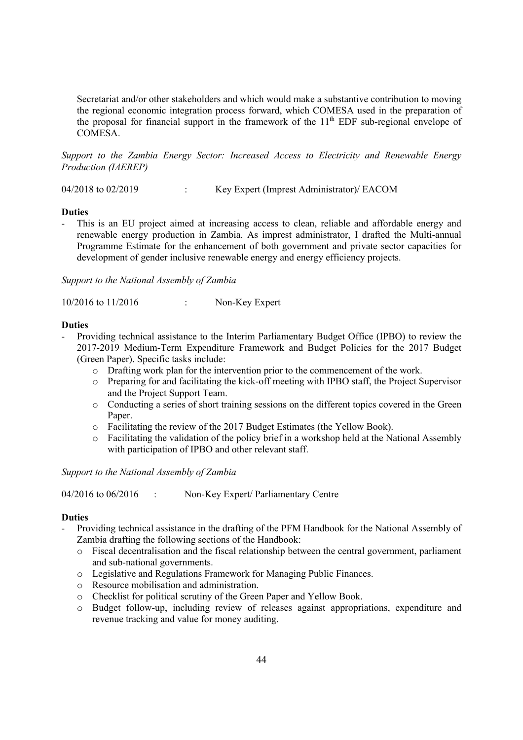Secretariat and/or other stakeholders and which would make a substantive contribution to moving the regional economic integration process forward, which COMESA used in the preparation of the proposal for financial support in the framework of the  $11<sup>th</sup>$  EDF sub-regional envelope of COMESA.

*Support to the Zambia Energy Sector: Increased Access to Electricity and Renewable Energy Production (IAEREP)*

04/2018 to 02/2019 : Key Expert (Imprest Administrator)/ EACOM

#### **Duties**

This is an EU project aimed at increasing access to clean, reliable and affordable energy and renewable energy production in Zambia. As imprest administrator, I drafted the Multi-annual Programme Estimate for the enhancement of both government and private sector capacities for development of gender inclusive renewable energy and energy efficiency projects.

*Support to the National Assembly of Zambia*

10/2016 to 11/2016 : Non-Key Expert

## **Duties**

- Providing technical assistance to the Interim Parliamentary Budget Office (IPBO) to review the 2017-2019 Medium-Term Expenditure Framework and Budget Policies for the 2017 Budget (Green Paper). Specific tasks include:
	- o Drafting work plan for the intervention prior to the commencement of the work.
	- o Preparing for and facilitating the kick-off meeting with IPBO staff, the Project Supervisor and the Project Support Team.
	- o Conducting a series of short training sessions on the different topics covered in the Green Paper.
	- o Facilitating the review of the 2017 Budget Estimates (the Yellow Book).
	- o Facilitating the validation of the policy brief in a workshop held at the National Assembly with participation of IPBO and other relevant staff.

*Support to the National Assembly of Zambia*

04/2016 to 06/2016 : Non-Key Expert/ Parliamentary Centre

- Providing technical assistance in the drafting of the PFM Handbook for the National Assembly of Zambia drafting the following sections of the Handbook:
	- o Fiscal decentralisation and the fiscal relationship between the central government, parliament and sub-national governments.
	- o Legislative and Regulations Framework for Managing Public Finances.
	- o Resource mobilisation and administration.
	- o Checklist for political scrutiny of the Green Paper and Yellow Book.
	- o Budget follow-up, including review of releases against appropriations, expenditure and revenue tracking and value for money auditing.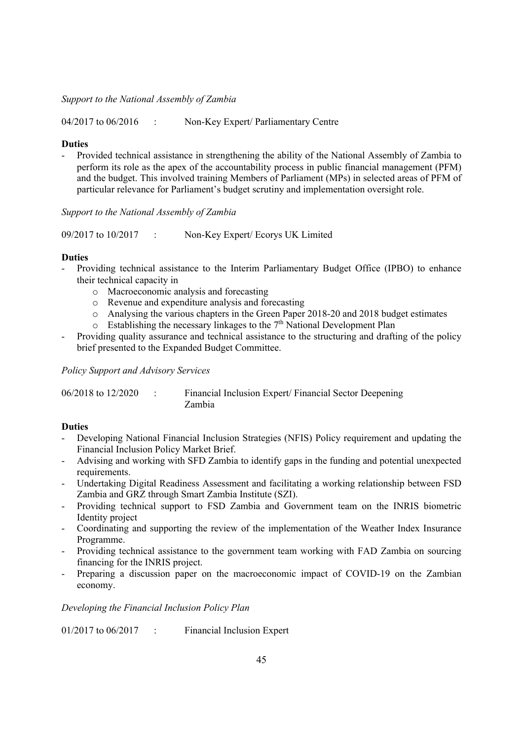*Support to the National Assembly of Zambia*

04/2017 to 06/2016 : Non-Key Expert/ Parliamentary Centre

## **Duties**

Provided technical assistance in strengthening the ability of the National Assembly of Zambia to perform its role as the apex of the accountability process in public financial management (PFM) and the budget. This involved training Members of Parliament (MPs) in selected areas of PFM of particular relevance for Parliament's budget scrutiny and implementation oversight role.

*Support to the National Assembly of Zambia*

09/2017 to 10/2017 : Non-Key Expert/ Ecorys UK Limited

#### **Duties**

- Providing technical assistance to the Interim Parliamentary Budget Office (IPBO) to enhance their technical capacity in
	- o Macroeconomic analysis and forecasting
	- o Revenue and expenditure analysis and forecasting
	- o Analysing the various chapters in the Green Paper 2018-20 and 2018 budget estimates
	- $\circ$  Establishing the necessary linkages to the 7<sup>th</sup> National Development Plan
- Providing quality assurance and technical assistance to the structuring and drafting of the policy brief presented to the Expanded Budget Committee.

*Policy Support and Advisory Services*

| 06/2018 to 12/2020 | Financial Inclusion Expert/ Financial Sector Deepening |
|--------------------|--------------------------------------------------------|
|                    | Zambia                                                 |

# **Duties**

- Developing National Financial Inclusion Strategies (NFIS) Policy requirement and updating the Financial Inclusion Policy Market Brief.
- Advising and working with SFD Zambia to identify gaps in the funding and potential unexpected requirements.
- Undertaking Digital Readiness Assessment and facilitating a working relationship between FSD Zambia and GRZ through Smart Zambia Institute (SZI).
- Providing technical support to FSD Zambia and Government team on the INRIS biometric Identity project
- Coordinating and supporting the review of the implementation of the Weather Index Insurance Programme.
- Providing technical assistance to the government team working with FAD Zambia on sourcing financing for the INRIS project.
- Preparing a discussion paper on the macroeconomic impact of COVID-19 on the Zambian economy.

# *Developing the Financial Inclusion Policy Plan*

01/2017 to 06/2017 : Financial Inclusion Expert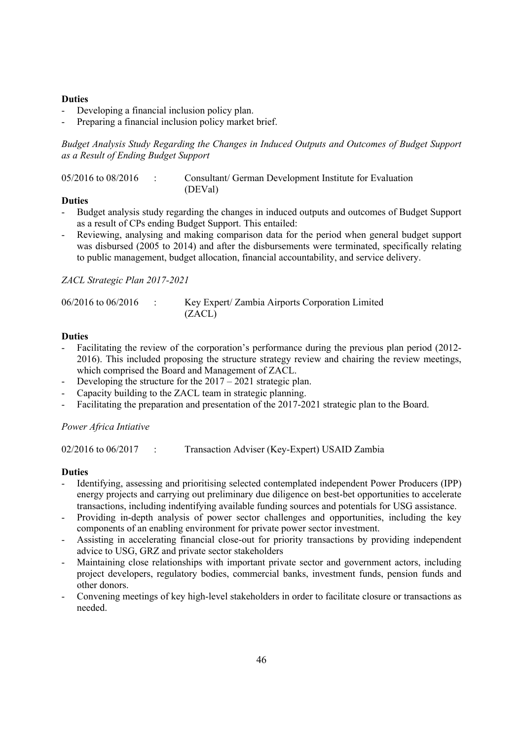# **Duties**

- Developing a financial inclusion policy plan.
- Preparing a financial inclusion policy market brief.

*Budget Analysis Study Regarding the Changes in Induced Outputs and Outcomes of Budget Support as a Result of Ending Budget Support*

| 05/2016 to 08/2016 |  | Consultant/ German Development Institute for Evaluation |
|--------------------|--|---------------------------------------------------------|
|                    |  | (DEVal)                                                 |

## **Duties**

- Budget analysis study regarding the changes in induced outputs and outcomes of Budget Support as a result of CPs ending Budget Support. This entailed:
- Reviewing, analysing and making comparison data for the period when general budget support was disbursed (2005 to 2014) and after the disbursements were terminated, specifically relating to public management, budget allocation, financial accountability, and service delivery.

# *ZACL Strategic Plan 2017-2021*

| $06/2016$ to $06/2016$ | Key Expert/ Zambia Airports Corporation Limited |
|------------------------|-------------------------------------------------|
|                        | (ZACL)                                          |

# **Duties**

- Facilitating the review of the corporation's performance during the previous plan period (2012-2016). This included proposing the structure strategy review and chairing the review meetings, which comprised the Board and Management of ZACL.
- Developing the structure for the  $2017 2021$  strategic plan.
- Capacity building to the ZACL team in strategic planning.
- Facilitating the preparation and presentation of the 2017-2021 strategic plan to the Board.

# *Power Africa Intiative*

02/2016 to 06/2017 : Transaction Adviser (Key-Expert) USAID Zambia

- Identifying, assessing and prioritising selected contemplated independent Power Producers (IPP) energy projects and carrying out preliminary due diligence on best-bet opportunities to accelerate transactions, including indentifying available funding sources and potentials for USG assistance.
- Providing in-depth analysis of power sector challenges and opportunities, including the key components of an enabling environment for private power sector investment.
- Assisting in accelerating financial close-out for priority transactions by providing independent advice to USG, GRZ and private sector stakeholders
- Maintaining close relationships with important private sector and government actors, including project developers, regulatory bodies, commercial banks, investment funds, pension funds and other donors.
- Convening meetings of key high-level stakeholders in order to facilitate closure or transactions as needed.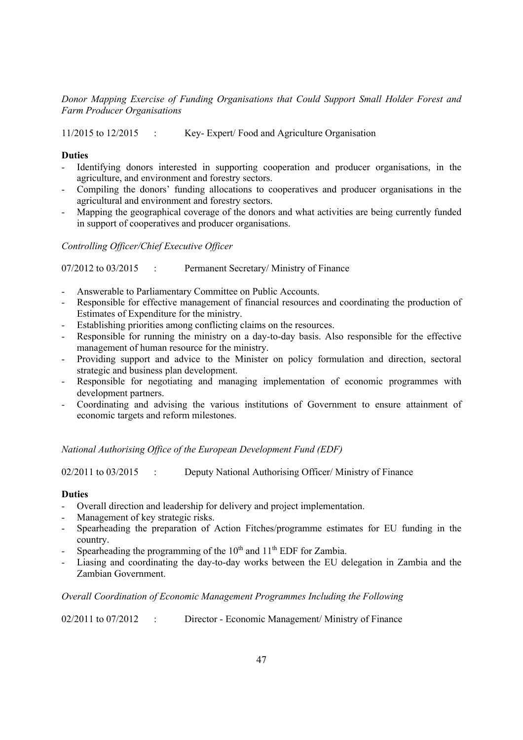*Donor Mapping Exercise of Funding Organisations that Could Support Small Holder Forest and Farm Producer Organisations*

11/2015 to 12/2015 : Key- Expert/ Food and Agriculture Organisation

## **Duties**

- Identifying donors interested in supporting cooperation and producer organisations, in the agriculture, and environment and forestry sectors.
- Compiling the donors' funding allocations to cooperatives and producer organisations in the agricultural and environment and forestry sectors.
- Mapping the geographical coverage of the donors and what activities are being currently funded in support of cooperatives and producer organisations.

*Controlling Officer/Chief Executive Officer*

07/2012 to 03/2015 : Permanent Secretary/ Ministry of Finance

- Answerable to Parliamentary Committee on Public Accounts.
- Responsible for effective management of financial resources and coordinating the production of Estimates of Expenditure for the ministry.
- Establishing priorities among conflicting claims on the resources.
- Responsible for running the ministry on a day-to-day basis. Also responsible for the effective management of human resource for the ministry.
- Providing support and advice to the Minister on policy formulation and direction, sectoral strategic and business plan development.
- Responsible for negotiating and managing implementation of economic programmes with development partners.
- Coordinating and advising the various institutions of Government to ensure attainment of economic targets and reform milestones.

*National Authorising Office of the European Development Fund (EDF)*

02/2011 to 03/2015 : Deputy National Authorising Officer/ Ministry of Finance

## **Duties**

- Overall direction and leadership for delivery and project implementation.
- Management of key strategic risks.
- Spearheading the preparation of Action Fitches/programme estimates for EU funding in the country.
- Spearheading the programming of the  $10<sup>th</sup>$  and  $11<sup>th</sup>$  EDF for Zambia.
- Liasing and coordinating the day-to-day works between the EU delegation in Zambia and the Zambian Government.

### *Overall Coordination of Economic Management Programmes Including the Following*

02/2011 to 07/2012 : Director - Economic Management/ Ministry of Finance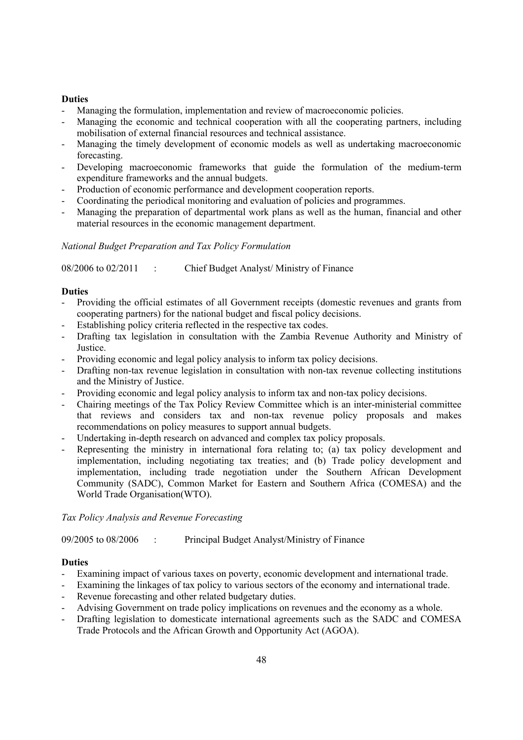## **Duties**

- Managing the formulation, implementation and review of macroeconomic policies.
- Managing the economic and technical cooperation with all the cooperating partners, including mobilisation of external financial resources and technical assistance.
- Managing the timely development of economic models as well as undertaking macroeconomic forecasting.
- Developing macroeconomic frameworks that guide the formulation of the medium-term expenditure frameworks and the annual budgets.
- Production of economic performance and development cooperation reports.
- Coordinating the periodical monitoring and evaluation of policies and programmes.
- Managing the preparation of departmental work plans as well as the human, financial and other material resources in the economic management department.

## *National Budget Preparation and Tax Policy Formulation*

08/2006 to 02/2011 : Chief Budget Analyst/ Ministry of Finance

## **Duties**

- Providing the official estimates of all Government receipts (domestic revenues and grants from cooperating partners) for the national budget and fiscal policy decisions.
- Establishing policy criteria reflected in the respective tax codes.
- Drafting tax legislation in consultation with the Zambia Revenue Authority and Ministry of Justice.
- Providing economic and legal policy analysis to inform tax policy decisions.
- Drafting non-tax revenue legislation in consultation with non-tax revenue collecting institutions and the Ministry of Justice.
- Providing economic and legal policy analysis to inform tax and non-tax policy decisions.
- Chairing meetings of the Tax Policy Review Committee which is an inter-ministerial committee that reviews and considers tax and non-tax revenue policy proposals and makes recommendations on policy measures to support annual budgets.
- Undertaking in-depth research on advanced and complex tax policy proposals.
- Representing the ministry in international fora relating to; (a) tax policy development and implementation, including negotiating tax treaties; and (b) Trade policy development and implementation, including trade negotiation under the Southern African Development Community (SADC), Common Market for Eastern and Southern Africa (COMESA) and the World Trade Organisation(WTO).

## *Tax Policy Analysis and Revenue Forecasting*

09/2005 to 08/2006 : Principal Budget Analyst/Ministry of Finance

- Examining impact of various taxes on poverty, economic development and international trade.
- Examining the linkages of tax policy to various sectors of the economy and international trade.
- Revenue forecasting and other related budgetary duties.
- Advising Government on trade policy implications on revenues and the economy as a whole.
- Drafting legislation to domesticate international agreements such as the SADC and COMESA Trade Protocols and the African Growth and Opportunity Act (AGOA).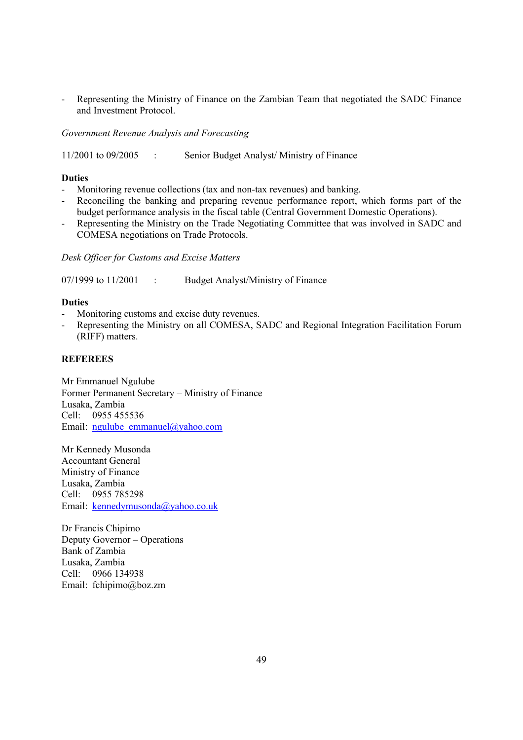Representing the Ministry of Finance on the Zambian Team that negotiated the SADC Finance and Investment Protocol.

*Government Revenue Analysis and Forecasting*

11/2001 to 09/2005 : Senior Budget Analyst/ Ministry of Finance

# **Duties**

- Monitoring revenue collections (tax and non-tax revenues) and banking.
- Reconciling the banking and preparing revenue performance report, which forms part of the budget performance analysis in the fiscal table (Central Government Domestic Operations).
- Representing the Ministry on the Trade Negotiating Committee that was involved in SADC and COMESA negotiations on Trade Protocols.

*Desk Officer for Customs and Excise Matters*

07/1999 to 11/2001 : Budget Analyst/Ministry of Finance

## **Duties**

- Monitoring customs and excise duty revenues.
- Representing the Ministry on all COMESA, SADC and Regional Integration Facilitation Forum (RIFF) matters.

## **REFEREES**

Mr Emmanuel Ngulube Former Permanent Secretary – Ministry of Finance Lusaka, Zambia Cell: 0955 455536 Email: ngulube\_emmanuel@yahoo.com

Mr Kennedy Musonda Accountant General Ministry of Finance Lusaka, Zambia Cell: 0955 785298 Email: kennedymusonda@yahoo.co.uk

Dr Francis Chipimo Deputy Governor – Operations Bank of Zambia Lusaka, Zambia Cell: 0966 134938 Email: fchipimo@boz.zm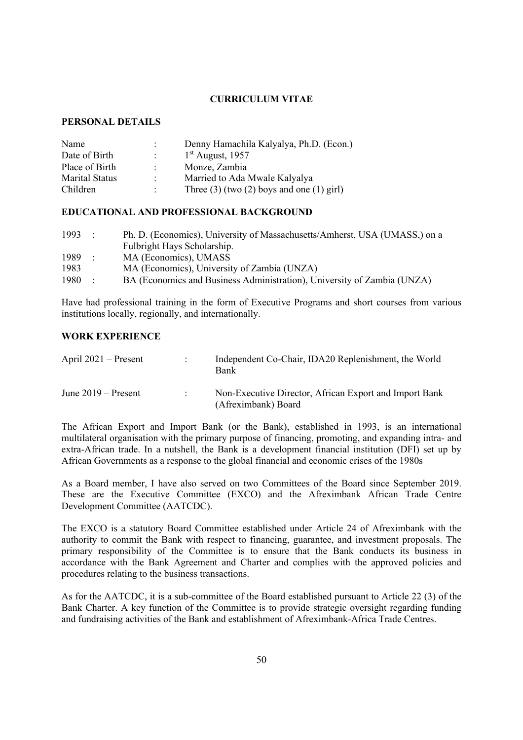## **CURRICULUM VITAE**

# **PERSONAL DETAILS**

| Name                  |                           | Denny Hamachila Kalyalya, Ph.D. (Econ.)         |
|-----------------------|---------------------------|-------------------------------------------------|
| Date of Birth         | $\mathbb{R}^{\mathbb{Z}}$ | $1st$ August, 1957                              |
| Place of Birth        | $\bullet$                 | Monze, Zambia                                   |
| <b>Marital Status</b> | ٠                         | Married to Ada Mwale Kalyalya                   |
| Children              | ٠.                        | Three $(3)$ (two $(2)$ boys and one $(1)$ girl) |

## **EDUCATIONAL AND PROFESSIONAL BACKGROUND**

| 1993 | $\sim$ 100 $\pm$ | Ph. D. (Economics), University of Massachusetts/Amherst, USA (UMASS,) on a |
|------|------------------|----------------------------------------------------------------------------|
|      |                  | Fulbright Hays Scholarship.                                                |
| 1989 | $\sim$ 100 $\pm$ | MA (Economics), UMASS                                                      |
| 1983 |                  | MA (Economics), University of Zambia (UNZA)                                |
| 1980 |                  | BA (Economics and Business Administration), University of Zambia (UNZA)    |

Have had professional training in the form of Executive Programs and short courses from various institutions locally, regionally, and internationally.

## **WORK EXPERIENCE**

| April $2021$ – Present | Independent Co-Chair, IDA20 Replenishment, the World<br>Bank                  |
|------------------------|-------------------------------------------------------------------------------|
| June $2019$ – Present  | Non-Executive Director, African Export and Import Bank<br>(Afreximbank) Board |

The African Export and Import Bank (or the Bank), established in 1993, is an international multilateral organisation with the primary purpose of financing, promoting, and expanding intra- and extra-African trade. In a nutshell, the Bank is a development financial institution (DFI) set up by African Governments as a response to the global financial and economic crises of the 1980s

As a Board member, I have also served on two Committees of the Board since September 2019. These are the Executive Committee (EXCO) and the Afreximbank African Trade Centre Development Committee (AATCDC).

The EXCO is a statutory Board Committee established under Article 24 of Afreximbank with the authority to commit the Bank with respect to financing, guarantee, and investment proposals. The primary responsibility of the Committee is to ensure that the Bank conducts its business in accordance with the Bank Agreement and Charter and complies with the approved policies and procedures relating to the business transactions.

As for the AATCDC, it is a sub-committee of the Board established pursuant to Article 22 (3) of the Bank Charter. A key function of the Committee is to provide strategic oversight regarding funding and fundraising activities of the Bank and establishment of Afreximbank-Africa Trade Centres.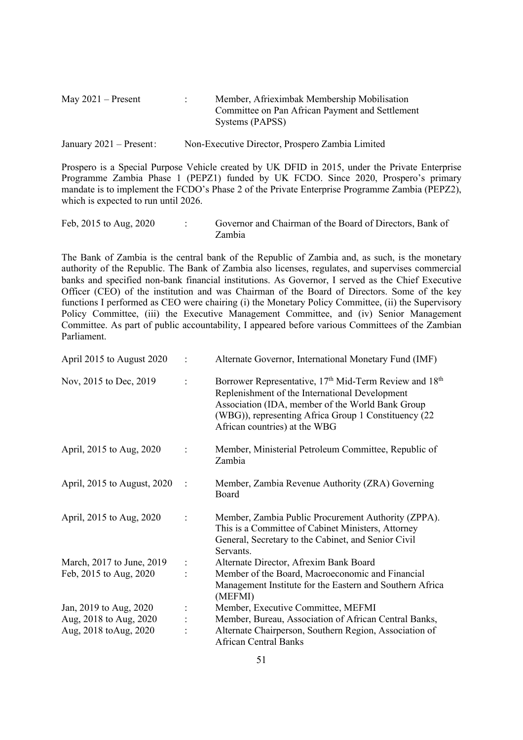| May $2021$ – Present | Member, Afrieximbak Membership Mobilisation     |
|----------------------|-------------------------------------------------|
|                      | Committee on Pan African Payment and Settlement |
|                      | Systems (PAPSS)                                 |
|                      |                                                 |

January 2021 – Present: Non-Executive Director, Prospero Zambia Limited

Prospero is a Special Purpose Vehicle created by UK DFID in 2015, under the Private Enterprise Programme Zambia Phase 1 (PEPZ1) funded by UK FCDO. Since 2020, Prospero's primary mandate is to implement the FCDO's Phase 2 of the Private Enterprise Programme Zambia (PEPZ2), which is expected to run until 2026.

```
Feb, 2015 to Aug, 2020 : Governor and Chairman of the Board of Directors, Bank of
                    Zambia
```
The Bank of Zambia is the central bank of the Republic of Zambia and, as such, is the monetary authority of the Republic. The Bank of Zambia also licenses, regulates, and supervises commercial banks and specified non-bank financial institutions. As Governor, I served as the Chief Executive Officer (CEO) of the institution and was Chairman of the Board of Directors. Some of the key functions I performed as CEO were chairing (i) the Monetary Policy Committee, (ii) the Supervisory Policy Committee, (iii) the Executive Management Committee, and (iv) Senior Management Committee. As part of public accountability, I appeared before various Committees of the Zambian Parliament.

| April 2015 to August 2020   |                | Alternate Governor, International Monetary Fund (IMF)                                                                                                                                                                                                                         |
|-----------------------------|----------------|-------------------------------------------------------------------------------------------------------------------------------------------------------------------------------------------------------------------------------------------------------------------------------|
| Nov, 2015 to Dec, 2019      |                | Borrower Representative, 17 <sup>th</sup> Mid-Term Review and 18 <sup>th</sup><br>Replenishment of the International Development<br>Association (IDA, member of the World Bank Group<br>(WBG)), representing Africa Group 1 Constituency (22<br>African countries) at the WBG |
| April, 2015 to Aug, 2020    | $\ddot{\cdot}$ | Member, Ministerial Petroleum Committee, Republic of<br>Zambia                                                                                                                                                                                                                |
| April, 2015 to August, 2020 |                | Member, Zambia Revenue Authority (ZRA) Governing<br>Board                                                                                                                                                                                                                     |
| April, 2015 to Aug, 2020    | $\ddot{\cdot}$ | Member, Zambia Public Procurement Authority (ZPPA).<br>This is a Committee of Cabinet Ministers, Attorney<br>General, Secretary to the Cabinet, and Senior Civil<br>Servants.                                                                                                 |
| March, 2017 to June, 2019   | $\ddot{\cdot}$ | Alternate Director, Afrexim Bank Board                                                                                                                                                                                                                                        |
| Feb, 2015 to Aug, 2020      |                | Member of the Board, Macroeconomic and Financial<br>Management Institute for the Eastern and Southern Africa<br>(MEFMI)                                                                                                                                                       |
| Jan, 2019 to Aug, 2020      |                | Member, Executive Committee, MEFMI                                                                                                                                                                                                                                            |
| Aug, 2018 to Aug, 2020      |                | Member, Bureau, Association of African Central Banks,                                                                                                                                                                                                                         |
| Aug, 2018 toAug, 2020       |                | Alternate Chairperson, Southern Region, Association of<br><b>African Central Banks</b>                                                                                                                                                                                        |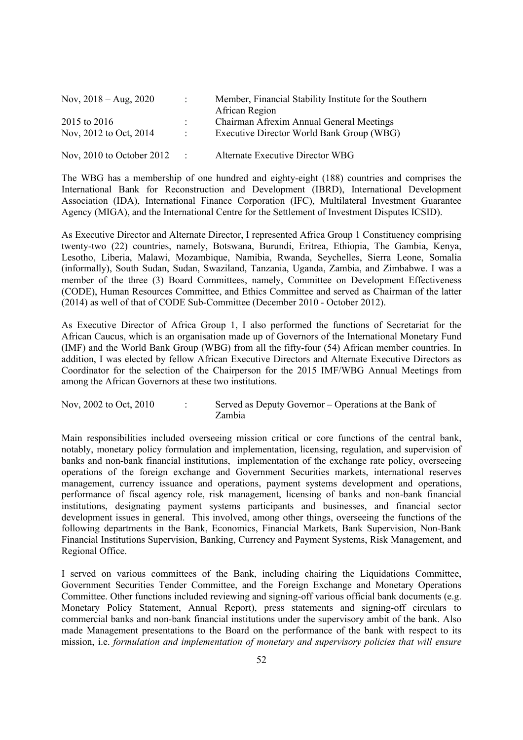| Nov, $2018 - Aug, 2020$                | $\mathcal{L}$                  | Member, Financial Stability Institute for the Southern<br>African Region              |
|----------------------------------------|--------------------------------|---------------------------------------------------------------------------------------|
| 2015 to 2016<br>Nov, 2012 to Oct, 2014 | $\mathcal{L}$<br>$\mathcal{L}$ | Chairman Afrexim Annual General Meetings<br>Executive Director World Bank Group (WBG) |
| Nov, $2010$ to October $2012$          | $\mathcal{L}$                  | Alternate Executive Director WBG                                                      |

The WBG has a membership of one hundred and eighty-eight (188) countries and comprises the International Bank for Reconstruction and Development (IBRD), International Development Association (IDA), International Finance Corporation (IFC), Multilateral Investment Guarantee Agency (MIGA), and the International Centre for the Settlement of Investment Disputes ICSID).

As Executive Director and Alternate Director, I represented Africa Group 1 Constituency comprising twenty-two (22) countries, namely, Botswana, Burundi, Eritrea, Ethiopia, The Gambia, Kenya, Lesotho, Liberia, Malawi, Mozambique, Namibia, Rwanda, Seychelles, Sierra Leone, Somalia (informally), South Sudan, Sudan, Swaziland, Tanzania, Uganda, Zambia, and Zimbabwe. I was a member of the three (3) Board Committees, namely, Committee on Development Effectiveness (CODE), Human Resources Committee, and Ethics Committee and served as Chairman of the latter (2014) as well of that of CODE Sub-Committee (December 2010 - October 2012).

As Executive Director of Africa Group 1, I also performed the functions of Secretariat for the African Caucus, which is an organisation made up of Governors of the International Monetary Fund (IMF) and the World Bank Group (WBG) from all the fifty-four (54) African member countries. In addition, I was elected by fellow African Executive Directors and Alternate Executive Directors as Coordinator for the selection of the Chairperson for the 2015 IMF/WBG Annual Meetings from among the African Governors at these two institutions.

| Nov, 2002 to Oct, 2010 | Served as Deputy Governor – Operations at the Bank of |
|------------------------|-------------------------------------------------------|
|                        | Zambia                                                |

Main responsibilities included overseeing mission critical or core functions of the central bank, notably, monetary policy formulation and implementation, licensing, regulation, and supervision of banks and non-bank financial institutions, implementation of the exchange rate policy, overseeing operations of the foreign exchange and Government Securities markets, international reserves management, currency issuance and operations, payment systems development and operations, performance of fiscal agency role, risk management, licensing of banks and non-bank financial institutions, designating payment systems participants and businesses, and financial sector development issues in general. This involved, among other things, overseeing the functions of the following departments in the Bank, Economics, Financial Markets, Bank Supervision, Non-Bank Financial Institutions Supervision, Banking, Currency and Payment Systems, Risk Management, and Regional Office.

I served on various committees of the Bank, including chairing the Liquidations Committee, Government Securities Tender Committee, and the Foreign Exchange and Monetary Operations Committee. Other functions included reviewing and signing-off various official bank documents (e.g. Monetary Policy Statement, Annual Report), press statements and signing-off circulars to commercial banks and non-bank financial institutions under the supervisory ambit of the bank. Also made Management presentations to the Board on the performance of the bank with respect to its mission, i.e. *formulation and implementation of monetary and supervisory policies that will ensure*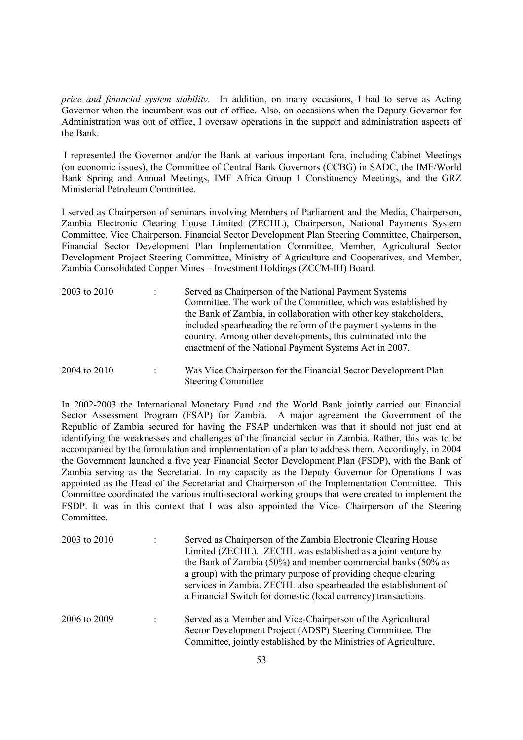*price and financial system stability*. In addition, on many occasions, I had to serve as Acting Governor when the incumbent was out of office. Also, on occasions when the Deputy Governor for Administration was out of office, I oversaw operations in the support and administration aspects of the Bank.

I represented the Governor and/or the Bank at various important fora, including Cabinet Meetings (on economic issues), the Committee of Central Bank Governors (CCBG) in SADC, the IMF/World Bank Spring and Annual Meetings, IMF Africa Group 1 Constituency Meetings, and the GRZ Ministerial Petroleum Committee.

I served as Chairperson of seminars involving Members of Parliament and the Media, Chairperson, Zambia Electronic Clearing House Limited (ZECHL), Chairperson, National Payments System Committee, Vice Chairperson, Financial Sector Development Plan Steering Committee, Chairperson, Financial Sector Development Plan Implementation Committee, Member, Agricultural Sector Development Project Steering Committee, Ministry of Agriculture and Cooperatives, and Member, Zambia Consolidated Copper Mines – Investment Holdings (ZCCM-IH) Board.

| 2003 to 2010 |                      | Served as Chairperson of the National Payment Systems<br>Committee. The work of the Committee, which was established by<br>the Bank of Zambia, in collaboration with other key stakeholders,<br>included spearheading the reform of the payment systems in the<br>country. Among other developments, this culminated into the<br>enactment of the National Payment Systems Act in 2007. |
|--------------|----------------------|-----------------------------------------------------------------------------------------------------------------------------------------------------------------------------------------------------------------------------------------------------------------------------------------------------------------------------------------------------------------------------------------|
| 2004 to 2010 | $\ddot{\phantom{0}}$ | Was Vice Chairperson for the Financial Sector Development Plan<br><b>Steering Committee</b>                                                                                                                                                                                                                                                                                             |

In 2002-2003 the International Monetary Fund and the World Bank jointly carried out Financial Sector Assessment Program (FSAP) for Zambia. A major agreement the Government of the Republic of Zambia secured for having the FSAP undertaken was that it should not just end at identifying the weaknesses and challenges of the financial sector in Zambia. Rather, this was to be accompanied by the formulation and implementation of a plan to address them. Accordingly, in 2004 the Government launched a five year Financial Sector Development Plan (FSDP), with the Bank of Zambia serving as the Secretariat. In my capacity as the Deputy Governor for Operations I was appointed as the Head of the Secretariat and Chairperson of the Implementation Committee. This Committee coordinated the various multi-sectoral working groups that were created to implement the FSDP. It was in this context that I was also appointed the Vice- Chairperson of the Steering Committee.

| 2003 to 2010 | Served as Chairperson of the Zambia Electronic Clearing House<br>Limited (ZECHL). ZECHL was established as a joint venture by<br>the Bank of Zambia (50%) and member commercial banks (50% as<br>a group) with the primary purpose of providing cheque clearing<br>services in Zambia. ZECHL also spearheaded the establishment of<br>a Financial Switch for domestic (local currency) transactions. |
|--------------|------------------------------------------------------------------------------------------------------------------------------------------------------------------------------------------------------------------------------------------------------------------------------------------------------------------------------------------------------------------------------------------------------|
| 2006 to 2009 | Served as a Member and Vice-Chairperson of the Agricultural<br>Sector Development Project (ADSP) Steering Committee. The<br>Committee, jointly established by the Ministries of Agriculture,                                                                                                                                                                                                         |